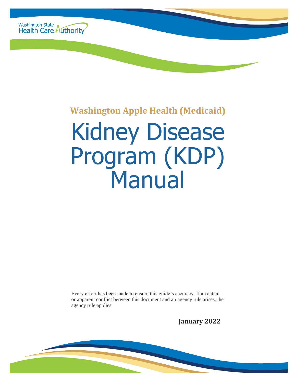

# **Washington Apple Health (Medicaid)** Kidney Disease Program (KDP) Manual

Every effort has been made to ensure this guide's accuracy. If an actual or apparent conflict between this document and an agency rule arises, the agency rule applies.

**January 2022**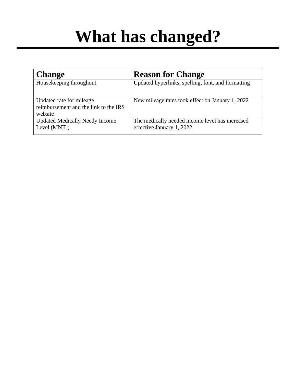## **What has changed?**

| <b>Change</b>                                                                | <b>Reason for Change</b>                                                      |
|------------------------------------------------------------------------------|-------------------------------------------------------------------------------|
| Housekeeping throughout                                                      | Updated hyperlinks, spelling, font, and formatting                            |
| Updated rate for mileage<br>reimbursement and the link to the IRS<br>website | New mileage rates took effect on January 1, 2022                              |
| <b>Updated Medically Needy Income</b><br>Level (MNIL)                        | The medically needed income level has increased<br>effective January 1, 2022. |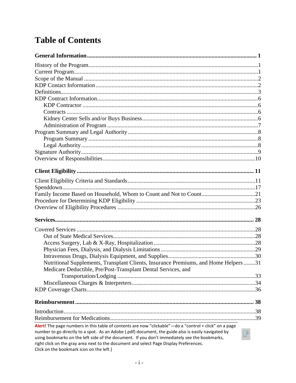### **Table of Contents**

| Nutritional Supplements, Transplant Clients, Insurance Premiums, and Home Helpers 31                                                                                                    |  |
|-----------------------------------------------------------------------------------------------------------------------------------------------------------------------------------------|--|
| Medicare Deductible, Pre/Post-Transplant Dental Services, and                                                                                                                           |  |
|                                                                                                                                                                                         |  |
|                                                                                                                                                                                         |  |
|                                                                                                                                                                                         |  |
|                                                                                                                                                                                         |  |
|                                                                                                                                                                                         |  |
|                                                                                                                                                                                         |  |
|                                                                                                                                                                                         |  |
| Alert! The page numbers in this table of contents are now "clickable"-do a "control + click" on a page                                                                                  |  |
| number to go directly to a spot. As an Adobe (.pdf) document, the guide also is easily navigated by                                                                                     |  |
| using bookmarks on the left side of the document. If you don't immediately see the bookmarks,<br>right click on the gray area next to the document and select Page Display Preferences. |  |

Click on the bookmark icon on the left.)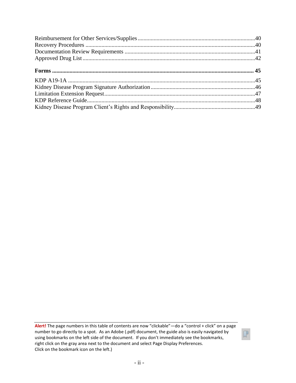Alert! The page numbers in this table of contents are now "clickable"-do a "control + click" on a page number to go directly to a spot. As an Adobe (.pdf) document, the guide also is easily navigated by using bookmarks on the left side of the document. If you don't immediately see the bookmarks, right click on the gray area next to the document and select Page Display Preferences. Click on the bookmark icon on the left.)

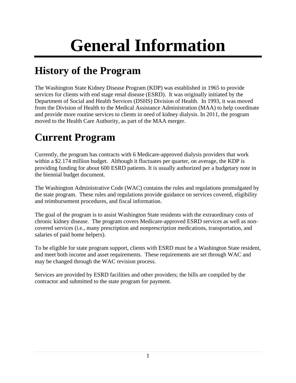# **General Information**

## <span id="page-4-1"></span><span id="page-4-0"></span>**History of the Program**

The Washington State Kidney Disease Program (KDP) was established in 1965 to provide services for clients with end stage renal disease (ESRD). It was originally initiated by the Department of Social and Health Services (DSHS) Division of Health. In 1993, it was moved from the Division of Health to the Medical Assistance Administration (MAA) to help coordinate and provide more routine services to clients in need of kidney dialysis. In 2011, the program moved to the Health Care Authority, as part of the MAA merger.

### <span id="page-4-2"></span>**Current Program**

Currently, the program has contracts with 6 Medicare-approved dialysis providers that work within a \$2.174 million budget. Although it fluctuates per quarter, on average, the KDP is providing funding for about 600 ESRD patients. It is usually authorized per a budgetary note in the biennial budget document.

The Washington Administrative Code (WAC) contains the rules and regulations promulgated by the state program. These rules and regulations provide guidance on services covered, eligibility and reimbursement procedures, and fiscal information.

The goal of the program is to assist Washington State residents with the extraordinary costs of chronic kidney disease. The program covers Medicare-approved ESRD services as well as noncovered services (i.e., many prescription and nonprescription medications, transportation, and salaries of paid home helpers).

To be eligible for state program support, clients with ESRD must be a Washington State resident, and meet both income and asset requirements. These requirements are set through WAC and may be changed through the WAC revision process.

Services are provided by ESRD facilities and other providers; the bills are compiled by the contractor and submitted to the state program for payment.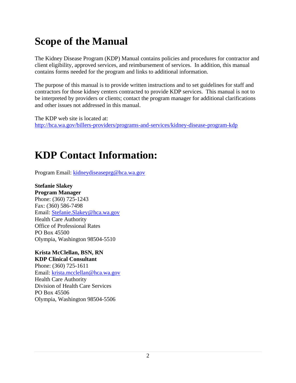### <span id="page-5-0"></span>**Scope of the Manual**

The Kidney Disease Program (KDP) Manual contains policies and procedures for contractor and client eligibility, approved services, and reimbursement of services. In addition, this manual contains forms needed for the program and links to additional information.

The purpose of this manual is to provide written instructions and to set guidelines for staff and contractors for those kidney centers contracted to provide KDP services. This manual is not to be interpreted by providers or clients; contact the program manager for additional clarifications and other issues not addressed in this manual.

The KDP web site is located at: <http://hca.wa.gov/billers-providers/programs-and-services/kidney-disease-program-kdp>

### <span id="page-5-1"></span>**KDP Contact Information:**

Program Email: [kidneydiseaseprg@hca.wa.gov](mailto:kidneydiseaseprg@hca.wa.gov)

**Stefanie Slakey Program Manager** Phone: (360) 725-1243 Fax: (360) 586-7498 Email: [Stefanie.Slakey@hca.wa.gov](mailto:Stefanie.Slakey@hca.wa.gov) Health Care Authority Office of Professional Rates PO Box 45500 Olympia, Washington 98504-5510

#### **Krista McClellan, BSN, RN KDP Clinical Consultant** Phone: (360) 725-1611 Email: [krista.mcclellan@hca.wa.gov](mailto:krista.mcclellan@hca.wa.gov) Health Care Authority Division of Health Care Services PO Box 45506 Olympia, Washington 98504-5506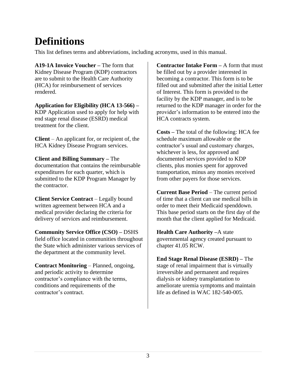### <span id="page-6-0"></span>**Definitions**

This list defines terms and abbreviations, including acronyms, used in this manual.

**A19-1A Invoice Voucher –** The form that Kidney Disease Program (KDP) contractors are to submit to the Health Care Authority (HCA) for reimbursement of services rendered.

**Application for Eligibility (HCA 13-566) –** KDP Application used to apply for help with end stage renal disease (ESRD) medical treatment for the client.

**Client** – An applicant for, or recipient of, the HCA Kidney Disease Program services.

#### **Client and Billing Summary –** The

documentation that contains the reimbursable expenditures for each quarter, which is submitted to the KDP Program Manager by the contractor.

**Client Service Contract** – Legally bound written agreement between HCA and a medical provider declaring the criteria for delivery of services and reimbursement.

**Community Service Office (CSO) –** DSHS field office located in communities throughout the State which administer various services of the department at the community level.

**Contract Monitoring** – Planned, ongoing, and periodic activity to determine contractor's compliance with the terms, conditions and requirements of the contractor's contract.

**Contractor Intake Form –** A form that must be filled out by a provider interested in becoming a contractor. This form is to be filled out and submitted after the initial Letter of Interest. This form is provided to the facility by the KDP manager, and is to be returned to the KDP manager in order for the provider's information to be entered into the HCA contracts system.

**Costs –** The total of the following: HCA fee schedule maximum allowable or the contractor's usual and customary charges, whichever is less, for approved and documented services provided to KDP clients, plus monies spent for approved transportation, minus any monies received from other payers for those services.

**Current Base Period** – The current period of time that a client can use medical bills in order to meet their Medicaid spenddown. This base period starts on the first day of the month that the client applied for Medicaid.

**Health Care Authority –**A state governmental agency created pursuant to chapter 41.05 RCW.

**End Stage Renal Disease (ESRD) –** The stage of renal impairment that is virtually irreversible and permanent and requires dialysis or kidney transplantation to ameliorate uremia symptoms and maintain life as defined in WAC 182-540-005.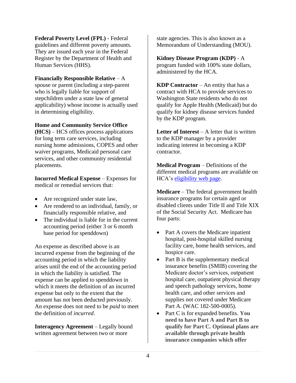**Federal Poverty Level (FPL)** - Federal guidelines and different poverty amounts. They are issued each year in the Federal Register by the Department of Health and Human Services (HHS).

#### **Financially Responsible Relative** – A

spouse or parent (including a step-parent who is legally liable for support of stepchildren under a state law of general applicability) whose income is actually used in determining eligibility.

#### **Home and Community Service Office**

**(HCS)** – HCS offices process applications for long term care services, including nursing home admissions, COPES and other waiver programs, Medicaid personal care services, and other community residential placements.

**Incurred Medical Expense** – Expenses for medical or remedial services that:

- Are recognized under state law,
- Are rendered to an individual, family, or financially responsible relative, and
- The individual is liable for in the current accounting period (either 3 or 6 month base period for spenddown)

An expense as described above is an incurred expense from the beginning of the accounting period in which the liability arises until the end of the accounting period in which the liability is satisfied. The expense can be applied to spenddown in which it meets the definition of an incurred expense but only to the extent that the amount has not been deducted previously. An expense does not need to be *paid* to meet the definition of *incurred*.

**Interagency Agreement** – Legally bound written agreement between two or more

state agencies. This is also known as a Memorandum of Understanding (MOU).

**Kidney Disease Program (KDP)** - A program funded with 100% state dollars, administered by the HCA.

**KDP Contractor** – An entity that has a contract with HCA to provide services to Washington State residents who do not qualify for Apple Health (Medicaid) but do qualify for kidney disease services funded by the KDP program.

**Letter of Interest** – A letter that is written to the KDP manager by a provider indicating interest in becoming a KDP contractor.

**Medical Program** – Definitions of the different medical programs are available on HCA's [eligibility web page.](https://www.hca.wa.gov/health-care-services-supports/apple-health-medicaid-coverage/eligibility)

**Medicare** – The federal government health insurance programs for certain aged or disabled clients under Title II and Title XIX of the Social Security Act. Medicare has four parts:

- Part A covers the Medicare inpatient hospital, post-hospital skilled nursing facility care, home health services, and hospice care.
- Part B is the supplementary medical insurance benefits (SMIB) covering the Medicare doctor's services, outpatient hospital care, outpatient physical therapy and speech pathology services, home health care, and other services and supplies not covered under Medicare Part A. (WAC 182-500-0005).
- Part C is for expanded benefits. **You need to have Part A and Part B to qualify for Part C. Optional plans are available through private health insurance companies which offer**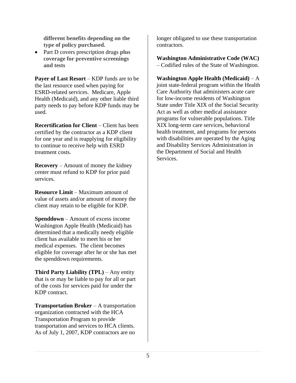**different benefits depending on the type of policy purchased.**

• Part D covers prescription drugs **plus coverage for preventive screenings and tests**

**Payer of Last Resort** – KDP funds are to be the last resource used when paying for ESRD-related services. Medicare, Apple Health (Medicaid), and any other liable third party needs to pay before KDP funds may be used.

**Recertification for Client** – Client has been certified by the contractor as a KDP client for one year and is reapplying for eligibility to continue to receive help with ESRD treatment costs.

**Recovery** – Amount of money the kidney center must refund to KDP for prior paid services.

**Resource Limit** – Maximum amount of value of assets and/or amount of money the client may retain to be eligible for KDP.

**Spenddown** – Amount of excess income Washington Apple Health (Medicaid) has determined that a medically needy eligible client has available to meet his or her medical expenses. The client becomes eligible for coverage after he or she has met the spenddown requirements.

**Third Party Liability (TPL)** – Any entity that is or may be liable to pay for all or part of the costs for services paid for under the KDP contract.

**Transportation Broker** – A transportation organization contracted with the HCA Transportation Program to provide transportation and services to HCA clients. As of July 1, 2007, KDP contractors are no

longer obligated to use these transportation contractors.

**Washington Administrative Code (WAC)** – Codified rules of the State of Washington.

**Washington Apple Health (Medicaid)** – A joint state-federal program within the Health Care Authority that administers acute care for low-income residents of Washington State under Title XIX of the Social Security Act as well as other medical assistance programs for vulnerable populations. Title XIX long-term care services, behavioral health treatment, and programs for persons with disabilities are operated by the Aging and Disability Services Administration in the Department of Social and Health Services.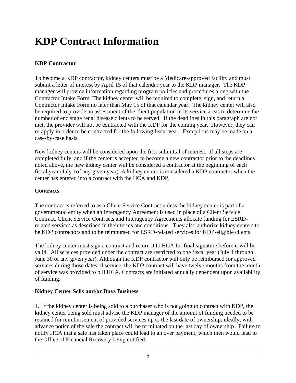### <span id="page-9-0"></span>**KDP Contract Information**

#### <span id="page-9-1"></span>**KDP Contractor**

To become a KDP contractor, kidney centers must be a Medicare-approved facility and must submit a letter of interest by April 15 of that calendar year to the KDP manager. The KDP manager will provide information regarding program policies and procedures along with the Contractor Intake Form. The kidney center will be required to complete, sign, and return a Contractor Intake Form no later than May 15 of that calendar year. The kidney center will also be required to provide an assessment of the client population in its service areas to determine the number of end stage renal disease clients to be served. If the deadlines in this paragraph are not met, the provider will not be contracted with the KDP for the coming year. However, they can re-apply in order to be contracted for the following fiscal year. Exceptions may be made on a case-by-case basis.

New kidney centers will be considered upon the first submittal of interest. If all steps are completed fully, and if the center is accepted to become a new contractor prior to the deadlines noted above, the new kidney center will be considered a contractor at the beginning of each fiscal year (July 1of any given year). A kidney center is considered a KDP contractor when the center has entered into a contract with the HCA and KDP.

#### <span id="page-9-2"></span>**Contracts**

The contract is referred to as a Client Service Contract unless the kidney center is part of a governmental entity when an Interagency Agreement is used in place of a Client Service Contract. Client Service Contracts and Interagency Agreements allocate funding for ESRDrelated services as described in their terms and conditions. They also authorize kidney centers to be KDP contractors and to be reimbursed for ESRD-related services for KDP-eligible clients.

The kidney center must sign a contract and return it to HCA for final signature before it will be valid. All services provided under the contract are restricted to one fiscal year (July 1 through June 30 of any given year). Although the KDP contractor will only be reimbursed for approved services during those dates of service, the KDP contract will have twelve months from the month of service was provided to bill HCA. Contracts are initiated annually dependent upon availability of funding.

#### <span id="page-9-3"></span>**Kidney Center Sells and/or Buys Business**

1. If the kidney center is being sold to a purchaser who is not going to contract with KDP, the kidney center being sold must advise the KDP manager of the amount of funding needed to be retained for reimbursement of provided services up to the last date of ownership; ideally, with advance notice of the sale the contract will be terminated on the last day of ownership. Failure to notify HCA that a sale has taken place could lead to an over payment, which then would lead to the Office of Financial Recovery being notified.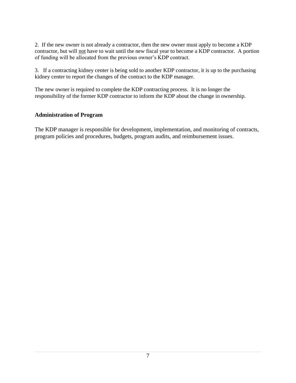2. If the new owner is not already a contractor, then the new owner must apply to become a KDP contractor, but will not have to wait until the new fiscal year to become a KDP contractor. A portion of funding will be allocated from the previous owner's KDP contract.

3. If a contracting kidney center is being sold to another KDP contractor, it is up to the purchasing kidney center to report the changes of the contract to the KDP manager.

The new owner is required to complete the KDP contracting process.It is no longer the responsibility of the former KDP contractor to inform the KDP about the change in ownership.

#### <span id="page-10-0"></span>**Administration of Program**

The KDP manager is responsible for development, implementation, and monitoring of contracts, program policies and procedures, budgets, program audits, and reimbursement issues.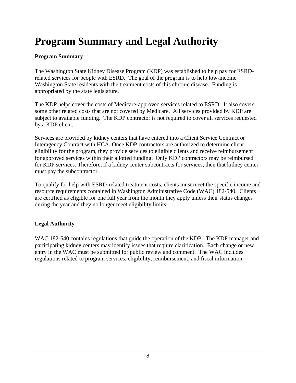## <span id="page-11-0"></span>**Program Summary and Legal Authority**

#### <span id="page-11-1"></span>**Program Summary**

The Washington State Kidney Disease Program (KDP) was established to help pay for ESRDrelated services for people with ESRD. The goal of the program is to help low-income Washington State residents with the treatment costs of this chronic disease. Funding is appropriated by the state legislature.

The KDP helps cover the costs of Medicare-approved services related to ESRD. It also covers some other related costs that are not covered by Medicare. All services provided by KDP are subject to available funding. The KDP contractor is not required to cover all services requested by a KDP client.

Services are provided by kidney centers that have entered into a Client Service Contract or Interagency Contract with HCA. Once KDP contractors are authorized to determine client eligibility for the program, they provide services to eligible clients and receive reimbursement for approved services within their allotted funding. Only KDP contractors may be reimbursed for KDP services. Therefore, if a kidney center subcontracts for services, then that kidney center must pay the subcontractor.

To qualify for help with ESRD-related treatment costs, clients must meet the specific income and resource requirements contained in Washington Administrative Code (WAC) 182-540. Clients are certified as eligible for one full year from the month they apply unless their status changes during the year and they no longer meet eligibility limits.

#### <span id="page-11-2"></span>**Legal Authority**

WAC 182-540 contains regulations that guide the operation of the KDP. The KDP manager and participating kidney centers may identify issues that require clarification. Each change or new entry in the WAC must be submitted for public review and comment. The WAC includes regulations related to program services, eligibility, reimbursement, and fiscal information.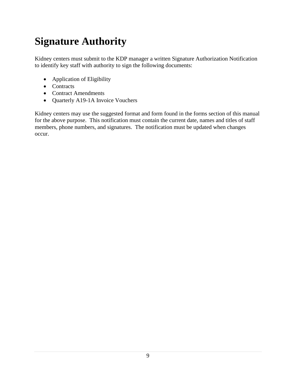## <span id="page-12-0"></span>**Signature Authority**

Kidney centers must submit to the KDP manager a written Signature Authorization Notification to identify key staff with authority to sign the following documents:

- Application of Eligibility
- Contracts
- Contract Amendments
- Quarterly A19-1A Invoice Vouchers

Kidney centers may use the suggested format and form found in the forms section of this manual for the above purpose. This notification must contain the current date, names and titles of staff members, phone numbers, and signatures. The notification must be updated when changes occur.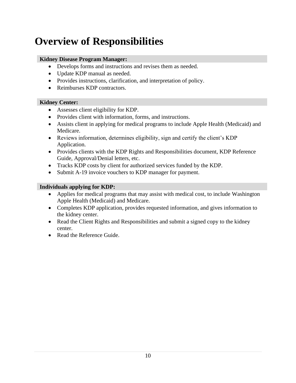### <span id="page-13-0"></span>**Overview of Responsibilities**

#### **Kidney Disease Program Manager:**

- Develops forms and instructions and revises them as needed.
- Update KDP manual as needed.
- Provides instructions, clarification, and interpretation of policy.
- Reimburses KDP contractors.

#### **Kidney Center:**

- Assesses client eligibility for KDP.
- Provides client with information, forms, and instructions.
- Assists client in applying for medical programs to include Apple Health (Medicaid) and Medicare.
- Reviews information, determines eligibility, sign and certify the client's KDP Application.
- Provides clients with the KDP Rights and Responsibilities document, KDP Reference Guide, Approval/Denial letters, etc.
- Tracks KDP costs by client for authorized services funded by the KDP.
- Submit A-19 invoice vouchers to KDP manager for payment.

#### **Individuals applying for KDP:**

- Applies for medical programs that may assist with medical cost, to include Washington Apple Health (Medicaid) and Medicare.
- Completes KDP application, provides requested information, and gives information to the kidney center.
- Read the Client Rights and Responsibilities and submit a signed copy to the kidney center.
- Read the Reference Guide.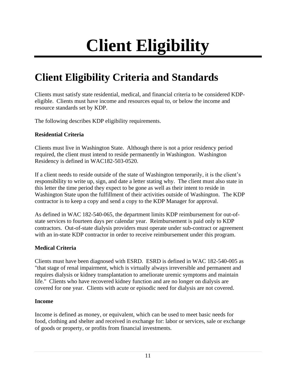# **Client Eligibility**

## <span id="page-14-1"></span><span id="page-14-0"></span>**Client Eligibility Criteria and Standards**

Clients must satisfy state residential, medical, and financial criteria to be considered KDPeligible. Clients must have income and resources equal to, or below the income and resource standards set by KDP.

The following describes KDP eligibility requirements.

#### **Residential Criteria**

Clients must live in Washington State. Although there is not a prior residency period required, the client must intend to reside permanently in Washington. Washington Residency is defined in WAC182-503-0520.

If a client needs to reside outside of the state of Washington temporarily, it is the client's responsibility to write up, sign, and date a letter stating why. The client must also state in this letter the time period they expect to be gone as well as their intent to reside in Washington State upon the fulfillment of their activities outside of Washington. The KDP contractor is to keep a copy and send a copy to the KDP Manager for approval.

As defined in WAC 182-540-065, the department limits KDP reimbursement for out-ofstate services to fourteen days per calendar year. Reimbursement is paid only to KDP contractors. Out-of-state dialysis providers must operate under sub-contract or agreement with an in-state KDP contractor in order to receive reimbursement under this program.

#### **Medical Criteria**

Clients must have been diagnosed with ESRD. ESRD is defined in WAC 182-540-005 as "that stage of renal impairment, which is virtually always irreversible and permanent and requires dialysis or kidney transplantation to ameliorate uremic symptoms and maintain life." Clients who have recovered kidney function and are no longer on dialysis are covered for one year. Clients with acute or episodic need for dialysis are not covered.

#### **Income**

Income is defined as money, or equivalent, which can be used to meet basic needs for food, clothing and shelter and received in exchange for: labor or services, sale or exchange of goods or property, or profits from financial investments.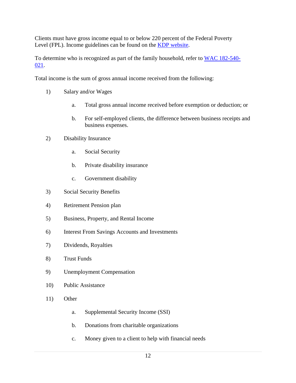Clients must have gross income equal to or below 220 percent of the Federal Poverty Level (FPL). Income guidelines can be found on the [KDP website.](https://www.hca.wa.gov/billers-providers-partners/programs-and-services/kidney-disease-program-kdp)

To determine who is recognized as part of the family household, refer to [WAC 182-540-](https://apps.leg.wa.gov/WAC/default.aspx?cite=182-540) [021.](https://apps.leg.wa.gov/WAC/default.aspx?cite=182-540)

Total income is the sum of gross annual income received from the following:

- 1) Salary and/or Wages
	- a. Total gross annual income received before exemption or deduction; or
	- b. For self-employed clients, the difference between business receipts and business expenses.
- 2) Disability Insurance
	- a. Social Security
	- b. Private disability insurance
	- c. Government disability
- 3) Social Security Benefits
- 4) Retirement Pension plan
- 5) Business, Property, and Rental Income
- 6) Interest From Savings Accounts and Investments
- 7) Dividends, Royalties
- 8) Trust Funds
- 9) Unemployment Compensation
- 10) Public Assistance
- 11) Other
	- a. Supplemental Security Income (SSI)
	- b. Donations from charitable organizations
	- c. Money given to a client to help with financial needs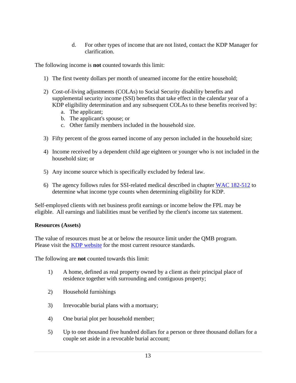d. For other types of income that are not listed, contact the KDP Manager for clarification.

The following income is **not** counted towards this limit:

- 1) The first twenty dollars per month of unearned income for the entire household;
- 2) Cost-of-living adjustments (COLAs) to Social Security disability benefits and supplemental security income (SSI) benefits that take effect in the calendar year of a KDP eligibility determination and any subsequent COLAs to these benefits received by:
	- a. The applicant;
	- b. The applicant's spouse; or
	- c. Other family members included in the household size.
- 3) Fifty percent of the gross earned income of any person included in the household size;
- 4) Income received by a dependent child age eighteen or younger who is not included in the household size; or
- 5) Any income source which is specifically excluded by federal law.
- 6) The agency follows rules for SSI-related medical described in chapter [WAC 182-512](https://apps.leg.wa.gov/WAC/default.aspx?cite=182-512) to determine what income type counts when determining eligibility for KDP.

Self-employed clients with net business profit earnings or income below the FPL may be eligible. All earnings and liabilities must be verified by the client's income tax statement.

#### **Resources (Assets)**

The value of resources must be at or below the resource limit under the QMB program. Please visit the [KDP website](https://www.hca.wa.gov/billers-providers-partners/programs-and-services/kidney-disease-program-kdp) for the most current resource standards.

The following are **not** counted towards this limit:

- 1) A home, defined as real property owned by a client as their principal place of residence together with surrounding and contiguous property;
- 2) Household furnishings
- 3) Irrevocable burial plans with a mortuary;
- 4) One burial plot per household member;
- 5) Up to one thousand five hundred dollars for a person or three thousand dollars for a couple set aside in a revocable burial account;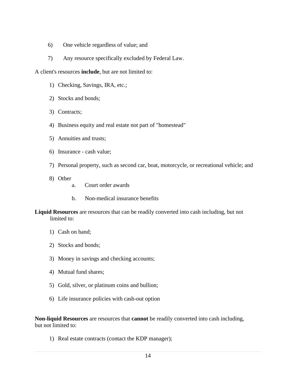- 6) One vehicle regardless of value; and
- 7) Any resource specifically excluded by Federal Law.

A client's resources **include**, but are not limited to:

- 1) Checking, Savings, IRA, etc.;
- 2) Stocks and bonds;
- 3) Contracts;
- 4) Business equity and real estate not part of "homestead"
- 5) Annuities and trusts;
- 6) Insurance cash value;
- 7) Personal property, such as second car, boat, motorcycle, or recreational vehicle; and
- 8) Other
	- a. Court order awards
	- b. Non-medical insurance benefits
- **Liquid Resources** are resources that can be readily converted into cash including, but not limited to:
	- 1) Cash on hand;
	- 2) Stocks and bonds;
	- 3) Money in savings and checking accounts;
	- 4) Mutual fund shares;
	- 5) Gold, silver, or platinum coins and bullion;
	- 6) Life insurance policies with cash-out option

**Non-liquid Resources** are resources that **cannot** be readily converted into cash including, but not limited to:

1) Real estate contracts (contact the KDP manager);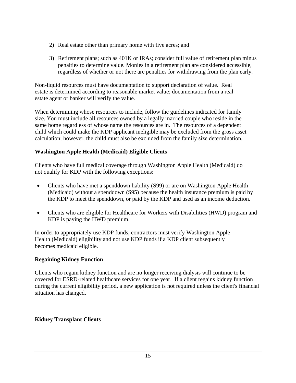- 2) Real estate other than primary home with five acres; and
- 3) Retirement plans; such as 401K or IRAs; consider full value of retirement plan minus penalties to determine value. Monies in a retirement plan are considered accessible, regardless of whether or not there are penalties for withdrawing from the plan early.

Non-liquid resources must have documentation to support declaration of value. Real estate is determined according to reasonable market value; documentation from a real estate agent or banker will verify the value.

When determining whose resources to include, follow the guidelines indicated for family size. You must include all resources owned by a legally married couple who reside in the same home regardless of whose name the resources are in. The resources of a dependent child which could make the KDP applicant ineligible may be excluded from the gross asset calculation; however, the child must also be excluded from the family size determination.

#### **Washington Apple Health (Medicaid) Eligible Clients**

Clients who have full medical coverage through Washington Apple Health (Medicaid) do not qualify for KDP with the following exceptions:

- Clients who have met a spenddown liability (S99) or are on Washington Apple Health (Medicaid) without a spenddown (S95) because the health insurance premium is paid by the KDP to meet the spenddown, or paid by the KDP and used as an income deduction.
- Clients who are eligible for Healthcare for Workers with Disabilities (HWD) program and KDP is paying the HWD premium.

In order to appropriately use KDP funds, contractors must verify Washington Apple Health (Medicaid) eligibility and not use KDP funds if a KDP client subsequently becomes medicaid eligible.

#### **Regaining Kidney Function**

Clients who regain kidney function and are no longer receiving dialysis will continue to be covered for ESRD-related healthcare services for one year. If a client regains kidney function during the current eligibility period, a new application is not required unless the client's financial situation has changed.

#### **Kidney Transplant Clients**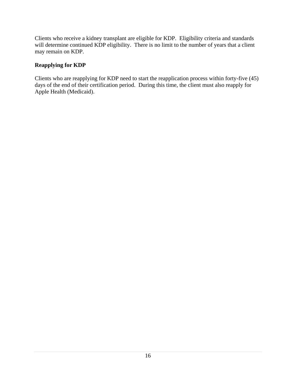Clients who receive a kidney transplant are eligible for KDP. Eligibility criteria and standards will determine continued KDP eligibility. There is no limit to the number of years that a client may remain on KDP.

#### **Reapplying for KDP**

Clients who are reapplying for KDP need to start the reapplication process within forty-five (45) days of the end of their certification period. During this time, the client must also reapply for Apple Health (Medicaid).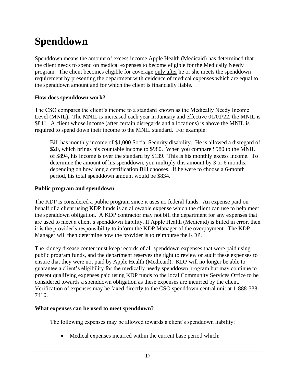## <span id="page-20-0"></span>**Spenddown**

Spenddown means the amount of excess income Apple Health (Medicaid) has determined that the client needs to spend on medical expenses to become eligible for the Medically Needy program. The client becomes eligible for coverage only after he or she meets the spenddown requirement by presenting the department with evidence of medical expenses which are equal to the spenddown amount and for which the client is financially liable.

#### **How does spenddown work?**

The CSO compares the client's income to a standard known as the Medically Needy Income Level (MNIL). The MNIL is increased each year in January and effective 01/01/22, the MNIL is \$841. A client whose income (after certain disregards and allocations) is above the MNIL is required to spend down their income to the MNIL standard. For example:

Bill has monthly income of \$1,000 Social Security disability. He is allowed a disregard of \$20, which brings his countable income to \$980. When you compare \$980 to the MNIL of \$894, his income is over the standard by \$139. This is his monthly excess income. To determine the amount of his spenddown, you multiply this amount by 3 or 6 months, depending on how long a certification Bill chooses. If he were to choose a 6-month period, his total spenddown amount would be \$834.

#### **Public program and spenddown**:

The KDP is considered a public program since it uses no federal funds. An expense paid on behalf of a client using KDP funds is an allowable expense which the client can use to help meet the spenddown obligation. A KDP contractor may not bill the department for any expenses that are used to meet a client's spenddown liability. If Apple Health (Medicaid) is billed in error, then it is the provider's responsibility to inform the KDP Manager of the overpayment. The KDP Manager will then determine how the provider is to reimburse the KDP.

The kidney disease center must keep records of all spenddown expenses that were paid using public program funds, and the department reserves the right to review or audit these expenses to ensure that they were not paid by Apple Health (Medicaid). KDP will no longer be able to guarantee a client's eligibility for the medically needy spenddown program but may continue to present qualifying expenses paid using KDP funds to the local Community Services Office to be considered towards a spenddown obligation as these expenses are incurred by the client. Verification of expenses may be faxed directly to the CSO spenddown central unit at 1-888-338- 7410.

#### **What expenses can be used to meet spenddown?**

The following expenses may be allowed towards a client's spenddown liability:

• Medical expenses incurred within the current base period which: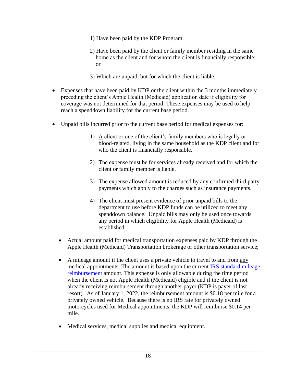- 1) Have been paid by the KDP Program
- 2) Have been paid by the client or family member residing in the same home as the client and for whom the client is financially responsible; or
- 3) Which are unpaid, but for which the client is liable.
- Expenses that have been paid by KDP or the client within the 3 months immediately preceding the client's Apple Health (Medicaid) application date if eligibility for coverage was not determined for that period. These expenses may be used to help reach a spenddown liability for the current base period.
- Unpaid bills incurred prior to the current base period for medical expenses for:
	- 1) A client or one of the client's family members who is legally or blood-related, living in the same household as the KDP client and for who the client is financially responsible.
	- 2) The expense must be for services already received and for which the client or family member is liable.
	- 3) The expense allowed amount is reduced by any confirmed third party payments which apply to the charges such as insurance payments.
	- 4) The client must present evidence of prior unpaid bills to the department to use before KDP funds can be utilized to meet any spenddown balance. Unpaid bills may only be used once towards any period in which eligibility for Apple Health (Medicaid) is established.
	- Actual amount paid for medical transportation expenses paid by KDP through the Apple Health (Medicaid) Transportation brokerage or other transportation service;
	- A mileage amount if the client uses a private vehicle to travel to and from any medical appointments. The amount is based upon the current [IRS standard mileage](https://www.irs.gov/newsroom/irs-issues-standard-mileage-rates-for-2022)  [reimbursement](https://www.irs.gov/newsroom/irs-issues-standard-mileage-rates-for-2022) amount. This expense is only allowable during the time period when the client is not Apple Health (Medicaid) eligible and if the client is not already receiving reimbursement through another payer (KDP is payer of last resort). As of January 1, 2022, the reimbursement amount is \$0.18 per mile for a privately owned vehicle. Because there is no IRS rate for privately owned motorcycles used for Medical appointments, the KDP will reimburse \$0.14 per mile.
	- Medical services, medical supplies and medical equipment.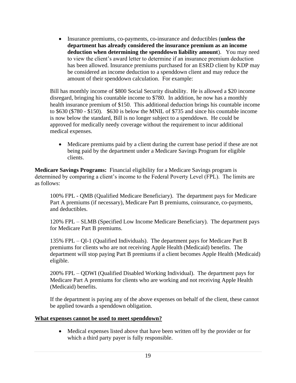• Insurance premiums, co-payments, co-insurance and deductibles (**unless the department has already considered the insurance premium as an income deduction when determining the spenddown liability amount**). You may need to view the client's award letter to determine if an insurance premium deduction has been allowed. Insurance premiums purchased for an ESRD client by KDP may be considered an income deduction to a spenddown client and may reduce the amount of their spenddown calculation. For example:

Bill has monthly income of \$800 Social Security disability. He is allowed a \$20 income disregard, bringing his countable income to \$780. In addition, he now has a monthly health insurance premium of \$150. This additional deduction brings his countable income to \$630 (\$780 - \$150). \$630 is below the MNIL of \$735 and since his countable income is now below the standard, Bill is no longer subject to a spenddown. He could be approved for medically needy coverage without the requirement to incur additional medical expenses.

• Medicare premiums paid by a client during the current base period if these are not being paid by the department under a Medicare Savings Program for eligible clients.

**Medicare Savings Programs:** Financial eligibility for a Medicare Savings program is determined by comparing a client's income to the Federal Poverty Level (FPL). The limits are as follows:

100% FPL - QMB (Qualified Medicare Beneficiary). The department pays for Medicare Part A premiums (if necessary), Medicare Part B premiums, coinsurance, co-payments, and deductibles.

120% FPL – SLMB (Specified Low Income Medicare Beneficiary). The department pays for Medicare Part B premiums.

135% FPL – QI-1 (Qualified Individuals). The department pays for Medicare Part B premiums for clients who are not receiving Apple Health (Medicaid) benefits. The department will stop paying Part B premiums if a client becomes Apple Health (Medicaid) eligible.

200% FPL – QDWI (Qualified Disabled Working Individual). The department pays for Medicare Part A premiums for clients who are working and not receiving Apple Health (Medicaid) benefits.

If the department is paying any of the above expenses on behalf of the client, these cannot be applied towards a spenddown obligation.

#### **What expenses cannot be used to meet spenddown?**

• Medical expenses listed above that have been written off by the provider or for which a third party payer is fully responsible.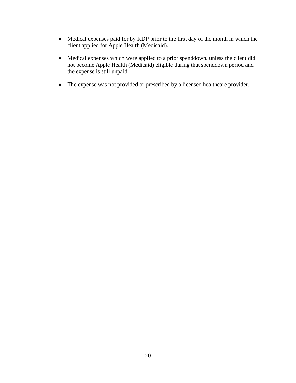- Medical expenses paid for by KDP prior to the first day of the month in which the client applied for Apple Health (Medicaid).
- Medical expenses which were applied to a prior spenddown, unless the client did not become Apple Health (Medicaid) eligible during that spenddown period and the expense is still unpaid.
- The expense was not provided or prescribed by a licensed healthcare provider.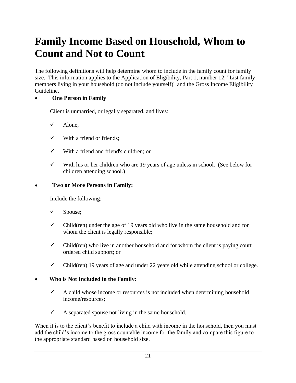### <span id="page-24-0"></span>**Family Income Based on Household, Whom to Count and Not to Count**

The following definitions will help determine whom to include in the family count for family size. This information applies to the Application of Eligibility, Part 1, number 12, "List family members living in your household (do not include yourself)" and the Gross Income Eligibility Guideline.

#### • **One Person in Family**

Client is unmarried, or legally separated, and lives:

- ✓ Alone;
- $\checkmark$  With a friend or friends;
- ✓ With a friend and friend's children; or
- $\checkmark$  With his or her children who are 19 years of age unless in school. (See below for children attending school.)

#### • **Two or More Persons in Family:**

Include the following:

- ✓ Spouse;
- $\checkmark$  Child(ren) under the age of 19 years old who live in the same household and for whom the client is legally responsible;
- $\checkmark$  Child(ren) who live in another household and for whom the client is paying court ordered child support; or
- $\checkmark$  Child(ren) 19 years of age and under 22 years old while attending school or college.

#### • **Who is Not Included in the Family:**

- $\checkmark$  A child whose income or resources is not included when determining household income/resources;
- $\checkmark$  A separated spouse not living in the same household.

When it is to the client's benefit to include a child with income in the household, then you must add the child's income to the gross countable income for the family and compare this figure to the appropriate standard based on household size.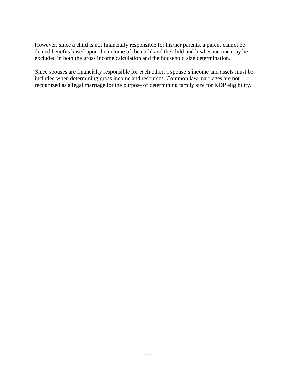However, since a child is not financially responsible for his/her parents, a parent cannot be denied benefits based upon the income of the child and the child and his/her income may be excluded in both the gross income calculation and the household size determination.

Since spouses are financially responsible for each other, a spouse's income and assets must be included when determining gross income and resources. Common law marriages are not recognized as a legal marriage for the purpose of determining family size for KDP eligibility.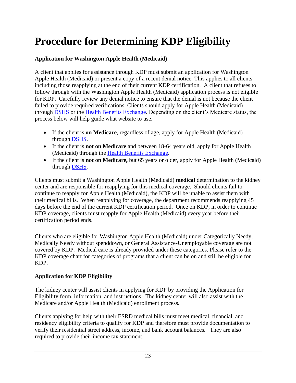## <span id="page-26-0"></span>**Procedure for Determining KDP Eligibility**

#### **Application for Washington Apple Health (Medicaid)**

A client that applies for assistance through KDP must submit an application for Washington Apple Health (Medicaid) or present a copy of a recent denial notice. This applies to all clients including those reapplying at the end of their current KDP certification. A client that refuses to follow through with the Washington Apple Health (Medicaid) application process is not eligible for KDP. Carefully review any denial notice to ensure that the denial is not because the client failed to provide required verifications. Clients should apply for Apple Health (Medicaid) through [DSHS](https://www.washingtonconnection.org/home/) or the [Health Benefits Exchange.](https://www.wahealthplanfinder.org/_content/Homepage.html) Depending on the client's Medicare status, the process below will help guide what website to use.

- If the client is **on Medicare**, regardless of age, apply for Apple Health (Medicaid) through [DSHS.](https://www.washingtonconnection.org/home/)
- If the client is **not on Medicare** and between 18-64 years old, apply for Apple Health (Medicaid) through the [Health Benefits Exchange.](https://www.wahealthplanfinder.org/_content/Homepage.html)
- If the client is **not on Medicare,** but 65 years or older, apply for Apple Health (Medicaid) through [DSHS.](https://www.washingtonconnection.org/home/)

Clients must submit a Washington Apple Health (Medicaid) **medical** determination to the kidney center and are responsible for reapplying for this medical coverage. Should clients fail to continue to reapply for Apple Health (Medicaid), the KDP will be unable to assist them with their medical bills. When reapplying for coverage, the department recommends reapplying 45 days before the end of the current KDP certification period. Once on KDP, in order to continue KDP coverage, clients must reapply for Apple Health (Medicaid) every year before their certification period ends.

Clients who are eligible for Washington Apple Health (Medicaid) under Categorically Needy, Medically Needy without spenddown, or General Assistance-Unemployable coverage are not covered by KDP. Medical care is already provided under these categories. Please refer to the KDP coverage chart for categories of programs that a client can be on and still be eligible for KDP.

#### **Application for KDP Eligibility**

The kidney center will assist clients in applying for KDP by providing the Application for Eligibility form, information, and instructions. The kidney center will also assist with the Medicare and/or Apple Health (Medicaid) enrollment process.

Clients applying for help with their ESRD medical bills must meet medical, financial, and residency eligibility criteria to qualify for KDP and therefore must provide documentation to verify their residential street address, income, and bank account balances. They are also required to provide their income tax statement.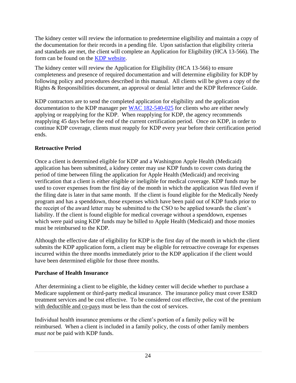The kidney center will review the information to predetermine eligibility and maintain a copy of the documentation for their records in a pending file. Upon satisfaction that eligibility criteria and standards are met, the client will complete an Application for Eligibility (HCA 13-566). The form can be found on the [KDP website.](https://www.hca.wa.gov/billers-providers-partners/programs-and-services/kidney-disease-program-kdp)

The kidney center will review the Application for Eligibility (HCA 13-566) to ensure completeness and presence of required documentation and will determine eligibility for KDP by following policy and procedures described in this manual. All clients will be given a copy of the Rights & Responsibilities document, an approval or denial letter and the KDP Reference Guide.

KDP contractors are to send the completed application for eligibility and the application documentation to the KDP manager per [WAC 182-540-025](https://app.leg.wa.gov/WAC/default.aspx?cite=182-540-025) for clients who are either newly applying or reapplying for the KDP. When reapplying for KDP, the agency recommends reapplying 45 days before the end of the current certification period. Once on KDP, in order to continue KDP coverage, clients must reapply for KDP every year before their certification period ends.

#### **Retroactive Period**

Once a client is determined eligible for KDP and a Washington Apple Health (Medicaid) application has been submitted, a kidney center may use KDP funds to cover costs during the period of time between filing the application for Apple Health (Medicaid) and receiving verification that a client is either eligible or ineligible for medical coverage. KDP funds may be used to cover expenses from the first day of the month in which the application was filed even if the filing date is later in that same month. If the client is found eligible for the Medically Needy program and has a spenddown, those expenses which have been paid out of KDP funds prior to the receipt of the award letter may be submitted to the CSO to be applied towards the client's liability. If the client is found eligible for medical coverage without a spenddown, expenses which were paid using KDP funds may be billed to Apple Health (Medicaid) and those monies must be reimbursed to the KDP.

Although the effective date of eligibility for KDP is the first day of the month in which the client submits the KDP application form, a client may be eligible for retroactive coverage for expenses incurred within the three months immediately prior to the KDP application if the client would have been determined eligible for those three months.

#### **Purchase of Health Insurance**

After determining a client to be eligible, the kidney center will decide whether to purchase a Medicare supplement or third-party medical insurance. The insurance policy must cover ESRD treatment services and be cost effective. To be considered cost effective, the cost of the premium with deductible and co-pays must be less than the cost of services.

Individual health insurance premiums or the client's portion of a family policy will be reimbursed. When a client is included in a family policy, the costs of other family members *must not* be paid with KDP funds.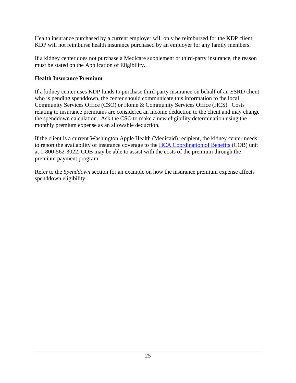Health insurance purchased by a current employer will only be reimbursed for the KDP client. KDP will not reimburse health insurance purchased by an employer for any family members.

If a kidney center does not purchase a Medicare supplement or third-party insurance, the reason must be stated on the Application of Eligibility.

#### **Health Insurance Premium**

If a kidney center uses KDP funds to purchase third-party insurance on behalf of an ESRD client who is pending spenddown, the center should communicate this information to the local Community Services Office (CSO) or Home & Community Services Office (HCS). Costs relating to insurance premiums are considered an income deduction to the client and may change the spenddown calculation. Ask the CSO to make a new eligibility determination using the monthly premium expense as an allowable deduction.

If the client is a current Washington Apple Health (Medicaid) recipient, the kidney center needs to report the availability of insurance coverage to the [HCA Coordination of Benefits](https://www.hca.wa.gov/health-care-services-supports/program-administration/coordination-benefits) (COB) unit at 1-800-562-3022. COB may be able to assist with the costs of the premium through the premium payment program.

Refer to the *Spenddown* section for an example on how the insurance premium expense affects spenddown eligibility.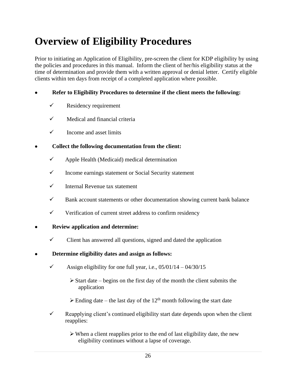### <span id="page-29-0"></span>**Overview of Eligibility Procedures**

Prior to initiating an Application of Eligibility, pre-screen the client for KDP eligibility by using the policies and procedures in this manual. Inform the client of her/his eligibility status at the time of determination and provide them with a written approval or denial letter. Certify eligible clients within ten days from receipt of a completed application where possible.

#### • **Refer to Eligibility Procedures to determine if the client meets the following:**

- $\checkmark$  Residency requirement
- $\checkmark$  Medical and financial criteria
- $\checkmark$  Income and asset limits

#### • **Collect the following documentation from the client:**

- $\checkmark$  Apple Health (Medicaid) medical determination
- ✓ Income earnings statement or Social Security statement
- ✓ Internal Revenue tax statement
- $\checkmark$  Bank account statements or other documentation showing current bank balance
- $\checkmark$  Verification of current street address to confirm residency

#### • **Review application and determine:**

- $\checkmark$  Client has answered all questions, signed and dated the application
- **Determine eligibility dates and assign as follows:**
	- Assign eligibility for one full year, i.e.,  $05/01/14 04/30/15$ 
		- $\triangleright$  Start date begins on the first day of the month the client submits the application
		- $\triangleright$  Ending date the last day of the 12<sup>th</sup> month following the start date
	- $\checkmark$  Reapplying client's continued eligibility start date depends upon when the client reapplies:
		- $\triangleright$  When a client reapplies prior to the end of last eligibility date, the new eligibility continues without a lapse of coverage.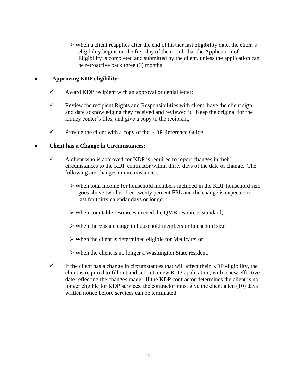➢ When a client reapplies after the end of his/her last eligibility date, the client's eligibility begins on the first day of the month that the Application of Eligibility is completed and submitted by the client, unless the application can be retroactive back three (3) months.

#### • **Approving KDP eligibility:**

- $\checkmark$  Award KDP recipient with an approval or denial letter;
- $\checkmark$  Review the recipient Rights and Responsibilities with client, have the client sign and date acknowledging they received and reviewed it. Keep the original for the kidney center's files, and give a copy to the recipient;
- $\checkmark$  Provide the client with a copy of the KDP Reference Guide.

#### • **Client has a Change in Circumstances:**

- $\checkmark$  A client who is approved for KDP is required to report changes in their circumstances to the KDP contractor within thirty days of the date of change. The following are changes in circumstances:
	- $\triangleright$  When total income for household members included in the KDP household size goes above two hundred twenty percent FPL and the change is expected to last for thirty calendar days or longer;
	- ➢ When countable resources exceed the QMB resources standard;
	- ➢ When there is a change in household members or household size;
	- ➢ When the client is determined eligible for Medicare; or
	- ➢ When the client is no longer a Washington State resident.
- $\checkmark$  If the client has a change in circumstances that will affect their KDP eligibility, the client is required to fill out and submit a new KDP application, with a new effective date reflecting the changes made. If the KDP contractor determines the client is no longer eligible for KDP services, the contractor must give the client a ten (10) days' written notice before services can be terminated.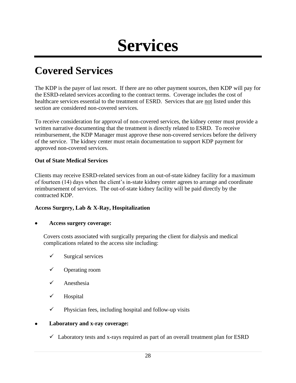## **Services**

### <span id="page-31-1"></span><span id="page-31-0"></span>**Covered Services**

The KDP is the payer of last resort. If there are no other payment sources, then KDP will pay for the ESRD-related services according to the contract terms. Coverage includes the cost of healthcare services essential to the treatment of ESRD. Services that are not listed under this section are considered non-covered services.

To receive consideration for approval of non-covered services, the kidney center must provide a written narrative documenting that the treatment is directly related to ESRD. To receive reimbursement, the KDP Manager must approve these non-covered services before the delivery of the service. The kidney center must retain documentation to support KDP payment for approved non-covered services.

#### <span id="page-31-2"></span>**Out of State Medical Services**

Clients may receive ESRD-related services from an out-of-state kidney facility for a maximum of fourteen (14) days when the client's in-state kidney center agrees to arrange and coordinate reimbursement of services. The out-of-state kidney facility will be paid directly by the contracted KDP.

#### <span id="page-31-3"></span>**Access Surgery, Lab & X-Ray, Hospitalization**

#### • **Access surgery coverage:**

Covers costs associated with surgically preparing the client for dialysis and medical complications related to the access site including:

- Surgical services
- $\checkmark$  Operating room
- ✓ Anesthesia
- ✓ Hospital
- $\checkmark$  Physician fees, including hospital and follow-up visits

#### • **Laboratory and x-ray coverage:**

 $\checkmark$  Laboratory tests and x-rays required as part of an overall treatment plan for ESRD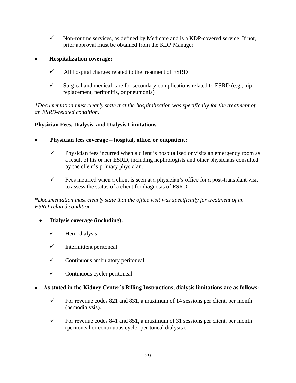$\checkmark$  Non-routine services, as defined by Medicare and is a KDP-covered service. If not, prior approval must be obtained from the KDP Manager

#### • **Hospitalization coverage:**

- $\checkmark$  All hospital charges related to the treatment of ESRD
- $\checkmark$  Surgical and medical care for secondary complications related to ESRD (e.g., hip replacement, peritonitis, or pneumonia)

*\*Documentation must clearly state that the hospitalization was specifically for the treatment of an ESRD-related condition.*

#### <span id="page-32-0"></span>**Physician Fees, Dialysis, and Dialysis Limitations**

- **Physician fees coverage – hospital, office, or outpatient:**
	- $\checkmark$  Physician fees incurred when a client is hospitalized or visits an emergency room as a result of his or her ESRD, including nephrologists and other physicians consulted by the client's primary physician.
	- $\checkmark$  Fees incurred when a client is seen at a physician's office for a post-transplant visit to assess the status of a client for diagnosis of ESRD

#### *\*Documentation must clearly state that the office visit was specifically for treatment of an ESRD-related condition.*

- **Dialysis coverage (including):**
	- $\checkmark$  Hemodialysis
	- $\checkmark$  Intermittent peritoneal
	- $\checkmark$  Continuous ambulatory peritoneal
	- $\checkmark$  Continuous cycler peritoneal

#### • **As stated in the Kidney Center's Billing Instructions, dialysis limitations are as follows:**

- $\checkmark$  For revenue codes 821 and 831, a maximum of 14 sessions per client, per month (hemodialysis).
- $\checkmark$  For revenue codes 841 and 851, a maximum of 31 sessions per client, per month (peritoneal or continuous cycler peritoneal dialysis).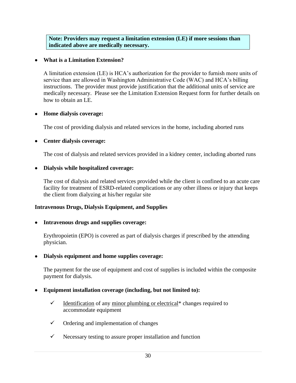**Note: Providers may request a limitation extension (LE) if more sessions than indicated above are medically necessary.** 

#### • **What is a Limitation Extension?**

A limitation extension (LE) is HCA's authorization for the provider to furnish more units of service than are allowed in Washington Administrative Code (WAC) and HCA's billing instructions. The provider must provide justification that the additional units of service are medically necessary. Please see the Limitation Extension Request form for further details on how to obtain an LE.

#### • **Home dialysis coverage:**

The cost of providing dialysis and related services in the home, including aborted runs

#### • **Center dialysis coverage:**

The cost of dialysis and related services provided in a kidney center, including aborted runs

#### • **Dialysis while hospitalized coverage:**

The cost of dialysis and related services provided while the client is confined to an acute care facility for treatment of ESRD-related complications or any other illness or injury that keeps the client from dialyzing at his/her regular site

#### <span id="page-33-0"></span>**Intravenous Drugs, Dialysis Equipment, and Supplies**

• **Intravenous drugs and supplies coverage:**

Erythropoietin (EPO) is covered as part of dialysis charges if prescribed by the attending physician.

#### • **Dialysis equipment and home supplies coverage:**

The payment for the use of equipment and cost of supplies is included within the composite payment for dialysis.

#### • **Equipment installation coverage (including, but not limited to):**

- $\checkmark$  Identification of any minor plumbing or electrical\* changes required to accommodate equipment
- $\checkmark$  Ordering and implementation of changes
- $\checkmark$  Necessary testing to assure proper installation and function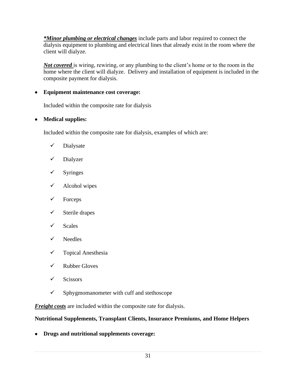*\*Minor plumbing or electrical changes* include parts and labor required to connect the dialysis equipment to plumbing and electrical lines that already exist in the room where the client will dialyze.

*Not covered* is wiring, rewiring, or any plumbing to the client's home or to the room in the home where the client will dialyze. Delivery and installation of equipment is included in the composite payment for dialysis.

#### • **Equipment maintenance cost coverage:**

Included within the composite rate for dialysis

#### • **Medical supplies:**

Included within the composite rate for dialysis, examples of which are:

- ✓ Dialysate
- ✓ Dialyzer
- ✓ Syringes
- $\checkmark$  Alcohol wipes
- ✓ Forceps
- ✓ Sterile drapes
- $\checkmark$  Scales
- ✓ Needles
- ✓ Topical Anesthesia
- ✓ Rubber Gloves
- ✓ Scissors
- $\checkmark$  Sphygmomanometer with cuff and stethoscope

*Freight costs* are included within the composite rate for dialysis.

#### <span id="page-34-0"></span>**Nutritional Supplements, Transplant Clients, Insurance Premiums, and Home Helpers**

• **Drugs and nutritional supplements coverage:**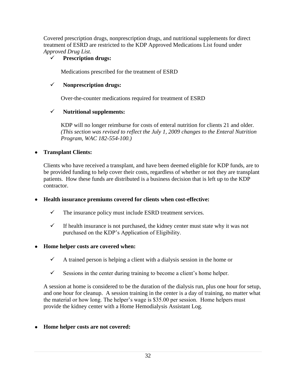Covered prescription drugs, nonprescription drugs, and nutritional supplements for direct treatment of ESRD are restricted to the KDP Approved Medications List found under *Approved Drug List.* 

#### ✓ **Prescription drugs:**

Medications prescribed for the treatment of ESRD

#### ✓ **Nonprescription drugs:**

Over-the-counter medications required for treatment of ESRD

#### ✓ **Nutritional supplements:**

KDP will no longer reimburse for costs of enteral nutrition for clients 21 and older. *(This section was revised to reflect the July 1, 2009 changes to the Enteral Nutrition Program, WAC 182-554-100.)* 

#### • **Transplant Clients:**

Clients who have received a transplant, and have been deemed eligible for KDP funds, are to be provided funding to help cover their costs, regardless of whether or not they are transplant patients. How these funds are distributed is a business decision that is left up to the KDP contractor.

#### • **Health insurance premiums covered for clients when cost-effective:**

- $\checkmark$  The insurance policy must include ESRD treatment services.
- $\checkmark$  If health insurance is not purchased, the kidney center must state why it was not purchased on the KDP's Application of Eligibility.

#### • **Home helper costs are covered when:**

- $\checkmark$  A trained person is helping a client with a dialysis session in the home or
- $\checkmark$  Sessions in the center during training to become a client's home helper.

A session at home is considered to be the duration of the dialysis run, plus one hour for setup, and one hour for cleanup. A session training in the center is a day of training, no matter what the material or how long. The helper's wage is \$35.00 per session. Home helpers must provide the kidney center with a Home Hemodialysis Assistant Log.

• **Home helper costs are not covered:**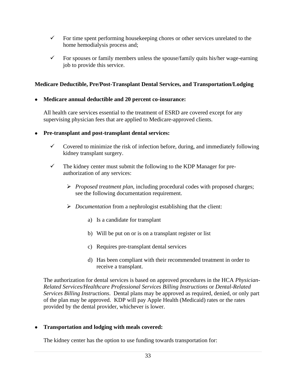- $\checkmark$  For time spent performing housekeeping chores or other services unrelated to the home hemodialysis process and;
- $\checkmark$  For spouses or family members unless the spouse/family quits his/her wage-earning job to provide this service.

#### <span id="page-36-0"></span>**Medicare Deductible, Pre/Post-Transplant Dental Services, and Transportation/Lodging**

#### • **Medicare annual deductible and 20 percent co-insurance:**

All health care services essential to the treatment of ESRD are covered except for any supervising physician fees that are applied to Medicare-approved clients.

- **Pre-transplant and post-transplant dental services:**
	- $\checkmark$  Covered to minimize the risk of infection before, during, and immediately following kidney transplant surgery.
	- $\checkmark$  The kidney center must submit the following to the KDP Manager for preauthorization of any services:
		- ➢ *Proposed treatment plan*, including procedural codes with proposed charges; see the following documentation requirement.
		- ➢ *Documentation* from a nephrologist establishing that the client:
			- a) Is a candidate for transplant
			- b) Will be put on or is on a transplant register or list
			- c) Requires pre-transplant dental services
			- d) Has been compliant with their recommended treatment in order to receive a transplant.

The authorization for dental services is based on approved procedures in the HCA *Physician-Related Services/Healthcare Professional Services Billing Instructions* or *Dental-Related Services Billing Instructions*. Dental plans may be approved as required, denied, or only part of the plan may be approved. KDP will pay Apple Health (Medicaid) rates or the rates provided by the dental provider, whichever is lower.

#### • **Transportation and lodging with meals covered:**

The kidney center has the option to use funding towards transportation for: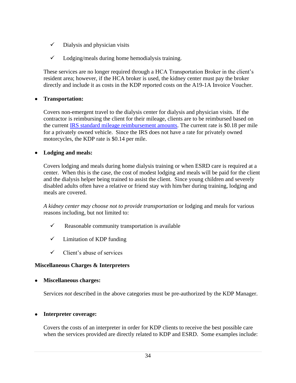- $\checkmark$  Dialysis and physician visits
- $\checkmark$  Lodging/meals during home hemodialysis training.

These services are no longer required through a HCA Transportation Broker in the client's resident area; however, if the HCA broker is used, the kidney center must pay the broker directly and include it as costs in the KDP reported costs on the A19-1A Invoice Voucher.

#### • **Transportation:**

Covers non-emergent travel to the dialysis center for dialysis and physician visits. If the contractor is reimbursing the client for their mileage, clients are to be reimbursed based on the current [IRS standard mileage reimbursement amounts.](https://www.irs.gov/newsroom/irs-issues-standard-mileage-rates-for-2022) The current rate is \$0.18 per mile for a privately owned vehicle. Since the IRS does not have a rate for privately owned motorcycles, the KDP rate is \$0.14 per mile.

#### • **Lodging and meals:**

Covers lodging and meals during home dialysis training or when ESRD care is required at a center. When this is the case, the cost of modest lodging and meals will be paid for the client and the dialysis helper being trained to assist the client. Since young children and severely disabled adults often have a relative or friend stay with him/her during training, lodging and meals are covered.

*A kidney center may choose not to provide transportation* or lodging and meals for various reasons including, but not limited to:

- $\checkmark$  Reasonable community transportation is available
- $\checkmark$  Limitation of KDP funding
- $\checkmark$  Client's abuse of services

#### <span id="page-37-0"></span>**Miscellaneous Charges & Interpreters**

• **Miscellaneous charges:**

Services *not* described in the above categories must be pre-authorized by the KDP Manager.

#### • **Interpreter coverage:**

Covers the costs of an interpreter in order for KDP clients to receive the best possible care when the services provided are directly related to KDP and ESRD. Some examples include: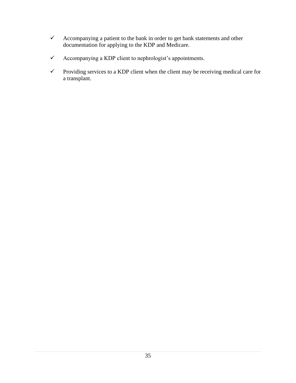- ✓ Accompanying a patient to the bank in order to get bank statements and other documentation for applying to the KDP and Medicare.
- ✓ Accompanying a KDP client to nephrologist's appointments.
- $\checkmark$  Providing services to a KDP client when the client may be receiving medical care for a transplant.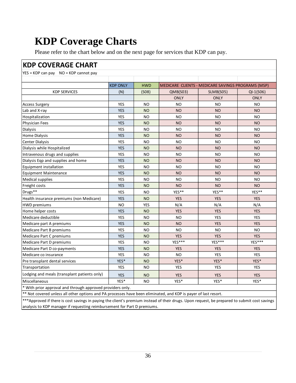### <span id="page-39-0"></span>**KDP Coverage Charts**

Please refer to the chart below and on the next page for services that KDP can pay.

#### **KDP COVERAGE CHART**

 $VFC = KDP$  can nay  $NQ = KDP$  cannot pay

|                                              | <b>KDP ONLY</b> | <b>HWD</b>     |             | MEDICARE CLIENTS - MEDICARE SAVINGS PROGRAMS (MSP) |                |
|----------------------------------------------|-----------------|----------------|-------------|----------------------------------------------------|----------------|
| <b>KDP SERVICES</b>                          | (N)             | (S08)          | QMB(S03)    | SLMB(S05)                                          | $QI-1(S06)$    |
|                                              |                 |                | <b>ONLY</b> | <b>ONLY</b>                                        | <b>ONLY</b>    |
| <b>Access Surgery</b>                        | <b>YES</b>      | <b>NO</b>      | NO.         | <b>NO</b>                                          | <b>NO</b>      |
| Lab and X-ray                                | <b>YES</b>      | <b>NO</b>      | <b>NO</b>   | <b>NO</b>                                          | <b>NO</b>      |
| Hospitalization                              | <b>YES</b>      | <b>NO</b>      | <b>NO</b>   | <b>NO</b>                                          | <b>NO</b>      |
| Physician Fees                               | <b>YES</b>      | N <sub>O</sub> | NO.         | <b>NO</b>                                          | N <sub>O</sub> |
| Dialysis                                     | <b>YES</b>      | <b>NO</b>      | <b>NO</b>   | <b>NO</b>                                          | <b>NO</b>      |
| Home Dialysis                                | <b>YES</b>      | <b>NO</b>      | <b>NO</b>   | <b>NO</b>                                          | <b>NO</b>      |
| <b>Center Dialysis</b>                       | <b>YES</b>      | N <sub>O</sub> | <b>NO</b>   | <b>NO</b>                                          | <b>NO</b>      |
| Dialysis while Hospitalized                  | <b>YES</b>      | <b>NO</b>      | <b>NO</b>   | <b>NO</b>                                          | <b>NO</b>      |
| Intravenous drugs and supplies               | <b>YES</b>      | NO.            | <b>NO</b>   | <b>NO</b>                                          | <b>NO</b>      |
| Dialysis Eqp and supplies and home           | <b>YES</b>      | <b>NO</b>      | <b>NO</b>   | <b>NO</b>                                          | <b>NO</b>      |
| Equipment installation                       | <b>YES</b>      | <b>NO</b>      | NO.         | <b>NO</b>                                          | N <sub>O</sub> |
| <b>Equipment Maintenance</b>                 | <b>YES</b>      | <b>NO</b>      | NO.         | <b>NO</b>                                          | <b>NO</b>      |
| <b>Medical supplies</b>                      | <b>YES</b>      | <b>NO</b>      | <b>NO</b>   | <b>NO</b>                                          | <b>NO</b>      |
| Freight costs                                | <b>YES</b>      | <b>NO</b>      | <b>NO</b>   | <b>NO</b>                                          | <b>NO</b>      |
| Drugs**                                      | <b>YES</b>      | N <sub>O</sub> | YES**       | YES**                                              | YES**          |
| Health insurance premiums (non Medicare)     | <b>YES</b>      | <b>NO</b>      | <b>YES</b>  | <b>YES</b>                                         | <b>YES</b>     |
| <b>HWD premiums</b>                          | <b>NO</b>       | <b>YES</b>     | N/A         | N/A                                                | N/A            |
| Home helper costs                            | <b>YES</b>      | <b>NO</b>      | <b>YES</b>  | <b>YES</b>                                         | <b>YES</b>     |
| Medicare deductible                          | <b>YES</b>      | <b>NO</b>      | <b>NO</b>   | <b>YES</b>                                         | <b>YES</b>     |
| Medicare part A premiums                     | <b>YES</b>      | <b>NO</b>      | <b>NO</b>   | <b>YES</b>                                         | <b>YES</b>     |
| Medicare Part B premiums                     | <b>YES</b>      | <b>NO</b>      | NO.         | <b>NO</b>                                          | <b>NO</b>      |
| Medicare Part C premiums                     | <b>YES</b>      | <b>NO</b>      | <b>YES</b>  | <b>YES</b>                                         | <b>YES</b>     |
| Medicare Part D premiums                     | <b>YES</b>      | <b>NO</b>      | YES***      | YES***                                             | YES***         |
| Medicare Part D co-payments                  | <b>YES</b>      | <b>NO</b>      | <b>YES</b>  | <b>YES</b>                                         | <b>YES</b>     |
| Medicare co insurance                        | <b>YES</b>      | NO.            | <b>NO</b>   | <b>YES</b>                                         | <b>YES</b>     |
| Pre transplant dental services               | YES*            | <b>NO</b>      | YES*        | YES*                                               | YES*           |
| Transportation                               | <b>YES</b>      | <b>NO</b>      | <b>YES</b>  | <b>YES</b>                                         | <b>YES</b>     |
| Lodging and meals (transplant patients only) | <b>YES</b>      | <b>NO</b>      | <b>YES</b>  | <b>YES</b>                                         | <b>YES</b>     |
| Miscellaneous                                | YES*            | <b>NO</b>      | YES*        | YES*                                               | YES*           |

With prior approval and through approved providers only.

\*\* Not covered unless all other options and PA processes have been eliminated, and KDP is payer of last resort.

\*\*\*Approved if there is cost savings in paying the client's premium instead of their drugs. Upon request, be prepared to submit cost savings analysis to KDP manager if requesting reimbursement for Part D premiums.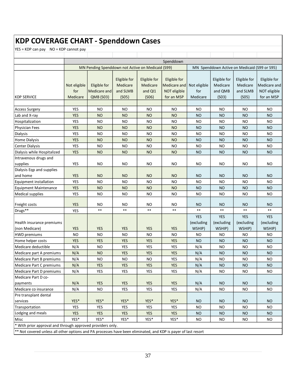### **KDP COVERAGE CHART - Spenddown Cases**

YES = KDP can pay NO = KDP cannot pay

| i LJ – KDr Carl pay TVO – KDr Carlifot pay                                                                     |                                                                                                   |                  |              |              |              |              |              |                    |              |
|----------------------------------------------------------------------------------------------------------------|---------------------------------------------------------------------------------------------------|------------------|--------------|--------------|--------------|--------------|--------------|--------------------|--------------|
|                                                                                                                |                                                                                                   |                  |              |              | Spenddown    |              |              |                    |              |
|                                                                                                                | MN Pending Spenddown not Active on Medicaid (S99)<br>MN Spenddown Active on Medicaid (S99 or S95) |                  |              |              |              |              |              |                    |              |
|                                                                                                                |                                                                                                   |                  |              |              |              |              |              |                    |              |
|                                                                                                                |                                                                                                   |                  | Eligible for | Eligible for | Eligible for |              | Eligible for | Eligible for       | Eligible for |
|                                                                                                                | Not eligible                                                                                      | Eligible for     | Medicare     | Medicare     | Medicare and | Not eligible | Medicare     | Medicare           | Medicare and |
|                                                                                                                | for                                                                                               | Medicare and     | and SLMB     | and QI1      | NOT eligible | for          | and QMB      | and SLMB           | NOT eligible |
| <b>KDP SERVICE</b>                                                                                             | Medicare                                                                                          | <b>QMB (S03)</b> | (S05)        | (S06)        | for an MSP   | Medicare     | (SO3)        | (S <sub>05</sub> ) | for an MSP   |
|                                                                                                                |                                                                                                   |                  |              |              |              |              |              |                    |              |
| <b>Access Surgery</b>                                                                                          | <b>YES</b>                                                                                        | <b>NO</b>        | <b>NO</b>    | <b>NO</b>    | <b>NO</b>    | <b>NO</b>    | NO.          | <b>NO</b>          | <b>NO</b>    |
| Lab and X-ray                                                                                                  | <b>YES</b>                                                                                        | <b>NO</b>        | <b>NO</b>    | <b>NO</b>    | <b>NO</b>    | <b>NO</b>    | <b>NO</b>    | <b>NO</b>          | <b>NO</b>    |
| Hospitalization                                                                                                | <b>YES</b>                                                                                        | NO               | NO           | <b>NO</b>    | NO           | <b>NO</b>    | NO           | <b>NO</b>          | <b>NO</b>    |
| <b>Physician Fees</b>                                                                                          | <b>YES</b>                                                                                        | <b>NO</b>        | <b>NO</b>    | <b>NO</b>    | <b>NO</b>    | <b>NO</b>    | <b>NO</b>    | <b>NO</b>          | <b>NO</b>    |
| Dialysis                                                                                                       | <b>YES</b>                                                                                        | <b>NO</b>        | <b>NO</b>    | NO           | <b>NO</b>    | <b>NO</b>    | <b>NO</b>    | <b>NO</b>          | <b>NO</b>    |
| <b>Home Dialysis</b>                                                                                           | <b>YES</b>                                                                                        | <b>NO</b>        | <b>NO</b>    | <b>NO</b>    | <b>NO</b>    | <b>NO</b>    | <b>NO</b>    | <b>NO</b>          | <b>NO</b>    |
| Center Dialysis                                                                                                | <b>YES</b>                                                                                        | <b>NO</b>        | <b>NO</b>    | <b>NO</b>    | <b>NO</b>    | <b>NO</b>    | <b>NO</b>    | <b>NO</b>          | <b>NO</b>    |
| Dialysis while Hospitalized                                                                                    | <b>YES</b>                                                                                        | <b>NO</b>        | <b>NO</b>    | <b>NO</b>    | <b>NO</b>    | <b>NO</b>    | <b>NO</b>    | <b>NO</b>          | <b>NO</b>    |
| Intravenous drugs and                                                                                          |                                                                                                   |                  |              |              |              |              |              |                    |              |
| supplies                                                                                                       | YES                                                                                               | <b>NO</b>        | NO           | NO           | <b>NO</b>    | <b>NO</b>    | <b>NO</b>    | <b>NO</b>          | <b>NO</b>    |
| Dialysis Eqp and supplies                                                                                      |                                                                                                   |                  |              |              |              |              |              |                    |              |
| and home                                                                                                       | <b>YES</b>                                                                                        | <b>NO</b>        | <b>NO</b>    | <b>NO</b>    | <b>NO</b>    | NO           | <b>NO</b>    | <b>NO</b>          | <b>NO</b>    |
| Equipment installation                                                                                         | <b>YES</b>                                                                                        | <b>NO</b>        | <b>NO</b>    | <b>NO</b>    | <b>NO</b>    | <b>NO</b>    | <b>NO</b>    | <b>NO</b>          | <b>NO</b>    |
| <b>Equipment Maintenance</b>                                                                                   | <b>YES</b>                                                                                        | <b>NO</b>        | <b>NO</b>    | <b>NO</b>    | <b>NO</b>    | <b>NO</b>    | <b>NO</b>    | <b>NO</b>          | <b>NO</b>    |
| <b>Medical supplies</b>                                                                                        | <b>YES</b>                                                                                        | NO               | NO           | <b>NO</b>    | NO           | NO.          | NO           | <b>NO</b>          | <b>NO</b>    |
| Freight costs                                                                                                  | <b>YES</b>                                                                                        | NO               | NO           | NO           | NO           | NO           | NO           | <b>NO</b>          | <b>NO</b>    |
| Drugs**                                                                                                        | <b>YES</b>                                                                                        | $***$            | $***$        | $***$        | $\ast\ast$   | $***$        | $***$        | $***$              | $***$        |
|                                                                                                                |                                                                                                   |                  |              |              |              | <b>YES</b>   | <b>YES</b>   | <b>YES</b>         | <b>YES</b>   |
| Health insurance premiums                                                                                      |                                                                                                   |                  |              |              |              | (excluding   | (excluding   | (excluding         | (excluding   |
| (non Medicare)                                                                                                 | <b>YES</b>                                                                                        | <b>YES</b>       | <b>YES</b>   | <b>YES</b>   | <b>YES</b>   | WSHIP)       | WSHIP)       | WSHIP)             | WSHIP)       |
| <b>HWD</b> premiums                                                                                            | <b>NO</b>                                                                                         | NO               | <b>NO</b>    | <b>NO</b>    | NO           | NO.          | NO           | <b>NO</b>          | <b>NO</b>    |
| Home helper costs                                                                                              | <b>YES</b>                                                                                        | <b>YES</b>       | <b>YES</b>   | <b>YES</b>   | <b>YES</b>   | NO           | <b>NO</b>    | <b>NO</b>          | <b>NO</b>    |
| Medicare deductible                                                                                            | N/A                                                                                               | <b>NO</b>        | <b>YES</b>   | <b>YES</b>   | <b>YES</b>   | N/A          | <b>NO</b>    | <b>NO</b>          | <b>NO</b>    |
| Medicare part A premiums                                                                                       | N/A                                                                                               | <b>NO</b>        | <b>YES</b>   | <b>YES</b>   | <b>YES</b>   | N/A          | <b>NO</b>    | <b>NO</b>          | <b>NO</b>    |
| Medicare Part B premiums                                                                                       | N/A                                                                                               | <b>NO</b>        | <b>NO</b>    | <b>NO</b>    | <b>YES</b>   | N/A          | <b>NO</b>    | <b>NO</b>          | <b>NO</b>    |
| Medicare Part C premiums                                                                                       | N/A                                                                                               | <b>YES</b>       | <b>YES</b>   | <b>YES</b>   | <b>YES</b>   | N/A          | <b>NO</b>    | <b>NO</b>          | <b>NO</b>    |
| Medicare Part D premiums                                                                                       | N/A                                                                                               | <b>YES</b>       | <b>YES</b>   | YES          | <b>YES</b>   | N/A          | <b>NO</b>    | <b>NO</b>          | <b>NO</b>    |
| Medicare Part D co-                                                                                            |                                                                                                   |                  |              |              |              |              |              |                    |              |
| payments                                                                                                       | N/A                                                                                               | <b>YES</b>       | <b>YES</b>   | <b>YES</b>   | <b>YES</b>   | N/A          | <b>NO</b>    | NO                 | <b>NO</b>    |
| Medicare co insurance                                                                                          | N/A                                                                                               | <b>NO</b>        | YES          | YES          | <b>YES</b>   | N/A          | <b>NO</b>    | NO.                | <b>NO</b>    |
| Pre transplant dental                                                                                          |                                                                                                   |                  |              |              |              |              |              |                    |              |
| services                                                                                                       | YES*                                                                                              | YES*             | YES*         | YES*         | YES*         | <b>NO</b>    | <b>NO</b>    | <b>NO</b>          | NO           |
| Transportation                                                                                                 | YES                                                                                               | YES              | <b>YES</b>   | YES          | <b>YES</b>   | <b>NO</b>    | <b>NO</b>    | NO.                | <b>NO</b>    |
| Lodging and meals                                                                                              | <b>YES</b>                                                                                        | <b>YES</b>       | <b>YES</b>   | <b>YES</b>   | <b>YES</b>   | <b>NO</b>    | <b>NO</b>    | NO.                | NO           |
| Misc                                                                                                           | YES*                                                                                              | YES*             | YES*         | YES*         | YES*         | <b>NO</b>    | <b>NO</b>    | NO.                | <b>NO</b>    |
| * With prior approval and through approved providers only.                                                     |                                                                                                   |                  |              |              |              |              |              |                    |              |
| ** Not covered unless all other options and PA processes have been eliminated, and KDP is payer of last resort |                                                                                                   |                  |              |              |              |              |              |                    |              |
|                                                                                                                |                                                                                                   |                  |              |              |              |              |              |                    |              |
|                                                                                                                |                                                                                                   |                  |              |              |              |              |              |                    |              |
|                                                                                                                |                                                                                                   |                  |              |              |              |              |              |                    |              |
|                                                                                                                |                                                                                                   |                  |              | 37           |              |              |              |                    |              |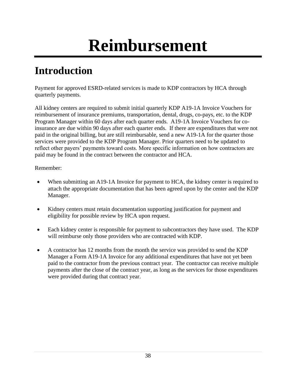## **Reimbursement**

### <span id="page-41-1"></span><span id="page-41-0"></span>**Introduction**

Payment for approved ESRD-related services is made to KDP contractors by HCA through quarterly payments.

All kidney centers are required to submit initial quarterly KDP A19-1A Invoice Vouchers for reimbursement of insurance premiums, transportation, dental, drugs, co-pays, etc. to the KDP Program Manager within 60 days after each quarter ends. A19-1A Invoice Vouchers for coinsurance are due within 90 days after each quarter ends. If there are expenditures that were not paid in the original billing, but are still reimbursable, send a new A19-1A for the quarter those services were provided to the KDP Program Manager. Prior quarters need to be updated to reflect other payers' payments toward costs. More specific information on how contractors are paid may be found in the contract between the contractor and HCA.

#### Remember:

- When submitting an A19-1A Invoice for payment to HCA, the kidney center is required to attach the appropriate documentation that has been agreed upon by the center and the KDP Manager.
- Kidney centers must retain documentation supporting justification for payment and eligibility for possible review by HCA upon request.
- Each kidney center is responsible for payment to subcontractors they have used. The KDP will reimburse only those providers who are contracted with KDP.
- A contractor has 12 months from the month the service was provided to send the KDP Manager a Form A19-1A Invoice for any additional expenditures that have not yet been paid to the contractor from the previous contract year. The contractor can receive multiple payments after the close of the contract year, as long as the services for those expenditures were provided during that contract year.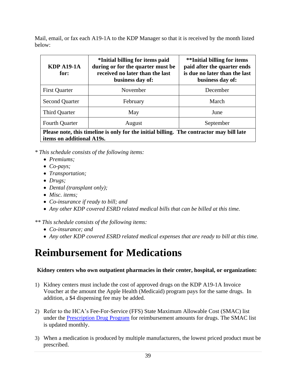Mail, email, or fax each A19-1A to the KDP Manager so that it is received by the month listed below:

| <b>KDP A19-1A</b><br>for:                                                                                             | *Initial billing for items paid<br>during or for the quarter must be<br>received no later than the last<br>business day of: | **Initial billing for items<br>paid after the quarter ends<br>is due no later than the last<br>business day of: |  |  |  |
|-----------------------------------------------------------------------------------------------------------------------|-----------------------------------------------------------------------------------------------------------------------------|-----------------------------------------------------------------------------------------------------------------|--|--|--|
| <b>First Quarter</b>                                                                                                  | November                                                                                                                    | December                                                                                                        |  |  |  |
| <b>Second Quarter</b>                                                                                                 | February                                                                                                                    | March                                                                                                           |  |  |  |
| <b>Third Quarter</b>                                                                                                  | May                                                                                                                         | June                                                                                                            |  |  |  |
| <b>Fourth Quarter</b>                                                                                                 | August                                                                                                                      | September                                                                                                       |  |  |  |
| Please note, this timeline is only for the initial billing. The contractor may bill late<br>items on additional A19s. |                                                                                                                             |                                                                                                                 |  |  |  |

*\* This schedule consists of the following items:* 

- *Premiums;*
- *Co-pays;*
- *Transportation;*
- *Drugs;*
- *Dental (transplant only);*
- *Misc. items;*
- *Co-insurance if ready to bill; and*
- *Any other KDP covered ESRD related medical bills that can be billed at this time.*

*\*\* This schedule consists of the following items:*

- *Co-insurance; and*
- *Any other KDP covered ESRD related medical expenses that are ready to bill at this time.*

## <span id="page-42-0"></span>**Reimbursement for Medications**

#### **Kidney centers who own outpatient pharmacies in their center, hospital, or organization:**

- 1) Kidney centers must include the cost of approved drugs on the KDP A19-1A Invoice Voucher at the amount the Apple Health (Medicaid) program pays for the same drugs. In addition, a \$4 dispensing fee may be added.
- 2) Refer to the HCA's Fee-For-Service (FFS) State Maximum Allowable Cost (SMAC) list under the [Prescription Drug Program](https://www.hca.wa.gov/billers-providers-partners/prior-authorization-claims-and-billing/provider-billing-guides-and-fee-schedules#p) for reimbursement amounts for drugs. The SMAC list is updated monthly.
- 3) When a medication is produced by multiple manufacturers, the lowest priced product must be prescribed.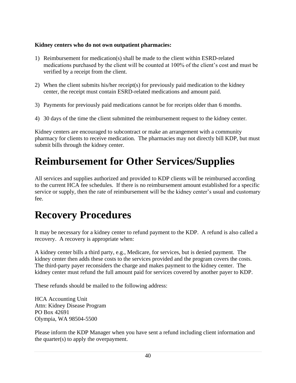#### **Kidney centers who do not own outpatient pharmacies:**

- 1) Reimbursement for medication(s) shall be made to the client within ESRD-related medications purchased by the client will be counted at 100% of the client's cost and must be verified by a receipt from the client.
- 2) When the client submits his/her receipt(s) for previously paid medication to the kidney center, the receipt must contain ESRD-related medications and amount paid.
- 3) Payments for previously paid medications cannot be for receipts older than 6 months.
- 4) 30 days of the time the client submitted the reimbursement request to the kidney center.

Kidney centers are encouraged to subcontract or make an arrangement with a community pharmacy for clients to receive medication. The pharmacies may not directly bill KDP, but must submit bills through the kidney center.

### <span id="page-43-0"></span>**Reimbursement for Other Services/Supplies**

All services and supplies authorized and provided to KDP clients will be reimbursed according to the current HCA fee schedules. If there is no reimbursement amount established for a specific service or supply, then the rate of reimbursement will be the kidney center's usual and customary fee.

### <span id="page-43-1"></span>**Recovery Procedures**

It may be necessary for a kidney center to refund payment to the KDP. A refund is also called a recovery. A recovery is appropriate when:

A kidney center bills a third party, e.g., Medicare, for services, but is denied payment. The kidney center then adds these costs to the services provided and the program covers the costs. The third-party payer reconsiders the charge and makes payment to the kidney center. The kidney center must refund the full amount paid for services covered by another payer to KDP.

These refunds should be mailed to the following address:

HCA Accounting Unit Attn: Kidney Disease Program PO Box 42691 Olympia, WA 98504-5500

Please inform the KDP Manager when you have sent a refund including client information and the quarter(s) to apply the overpayment.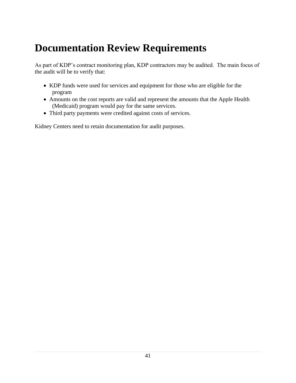### <span id="page-44-0"></span>**Documentation Review Requirements**

As part of KDP's contract monitoring plan, KDP contractors may be audited. The main focus of the audit will be to verify that:

- KDP funds were used for services and equipment for those who are eligible for the program
- Amounts on the cost reports are valid and represent the amounts that the Apple Health (Medicaid) program would pay for the same services.
- Third party payments were credited against costs of services.

Kidney Centers need to retain documentation for audit purposes.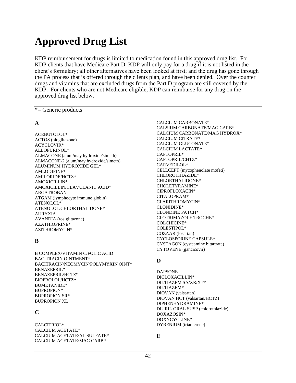### <span id="page-45-0"></span>**Approved Drug List**

KDP reimbursement for drugs is limited to medication found in this approved drug list. For KDP clients that have Medicare Part D, KDP will only pay for a drug if it is not listed in the client's formulary; all other alternatives have been looked at first; and the drug has gone through the PA process that is offered through the clients plan, and have been denied. Over the counter drugs and vitamins that are excluded drugs from the Part D program are still covered by the KDP. For clients who are not Medicare eligible, KDP can reimburse for any drug on the approved drug list below.

\*= Generic products

#### **A**

ACEBUTOLOL\* ACTOS (pioglitazone) ACYCLOVIR\* ALLOPURINOL\* ALMACONE (alum/may hydroxide/simeth) ALMACONE-2 (alum/may hydroxide/simeth) ALUMINUM HYDROXIDE GEL\* AMLODIPINE\* AMILORIDE/HCTZ\* AMOXICILLIN\* AMOXICILLIN/CLAVULANIC ACID\* ARGATROBAN ATGAM (lymphocyte immune globin) ATENOLOL\* ATENOLOL/CHLORTHALIDONE\* AURYXIA AVANDIA (rosiglitazone) AZATHIOPRINE\* AZITHROMYCIN\*

#### **B**

B COMPLEX/VITAMIN C/FOLIC ACID BACITRACIN OINTMENT\* BACITRACIN/NEOMYCIN/POLYMYXIN OINT\* BENAZEPRIL\* BENAZEPRIL/HCTZ\* BIOPROLOL/HCTZ\* BUMETANIDE\* BUPROPION\* BUPROPION SR\* BUPROPION XL

#### **C**

CALCITRIOL\* CALCIUM ACETATE\* CALCIUM ACETATE/AL SULFATE\* CALCIUM ACETATE/MAG CARB\*

CALCIUM CARBONATE\* CALSIUM CARBONATE/MAG CARB\* CALCIUM CARBONATE/MAG HYDROX\* CALCIUM CITRATE\* CALCIUM GLUCONATE\* CALCIUM LACTATE\* CAPTOPRIL\* CAPTOPRIL/CHTZ\* CARVEDILOL\* CELLCEPT (mycophenolate mofeti) CHLOROTHIAZIDE\* CHLORTHALIDONE\* CHOLETYRAMINE\* CIPROFLOXACIN\* CITALOPRAM\* CLARITHROMYCIN\* CLONIDINE\* CLONDINE PATCH\* CLOTRIMAZOLE TROCHE\* COLCHICINE\* COLESTIPOL\* COZAAR (losartan) CYCLOSPORINE CAPSULE\* CYSTAGON (cysteamine bitartrate) CYTOVENE (gancicovir)

#### **D**

DAPSONE DICLOXACILLIN\* DILTIAZEM SA/XR/XT\* DILTIAZEM\* DIOVAN (valsartan) DIOVAN HCT (valsartan/HCTZ) DIPHENHYDRAMINE\* DIURIL ORAL SUSP (chlorothiazide) DOXAZOSIN\* DOXYCYCLINE\* DYRENIUM (trianterene)

#### **E**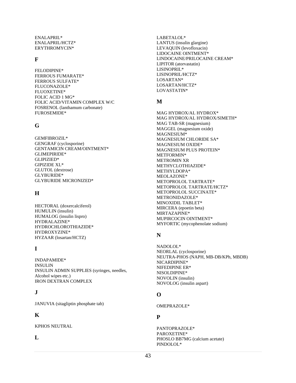ENALAPRIL\* ENALAPRIL/HCTZ\* ERYTHROMYCIN\*

#### **F**

FELODIPINE\* FERROUS FUMARATE\* FERROUS SULFATE\* FLUCONAZOLE\* FLUOXETINE\* FOLIC ACID 1 MG\* FOLIC ACID/VITAMIN COMPLEX W/C FOSRENOL (lanthamum carbonate) FUROSEMIDE\*

#### **G**

GEMFIBROZIL\* GENGRAF (cyclosporine) GENTAMICIN CREAM/OINTMENT\* GLIMEPIRIDE\* GLIPIZIED\* GIPIZIDE XL\* GLUTOL (dextrose) GLYBURIDE\* GLYBURIDE MICRONIZED\*

#### **H**

HECTORAL (doxercalciferol) HUMULIN (insulin) HUMALOG (insulin lispro) HYDRALAZINE\* HYDROCHLOROTHIAZIDE\* HYDROXYZINE\* HYZAAR (losartan/HCTZ)

#### **I**

INDAPAMIDE\* INSULIN INSULIN ADMIN SUPPLIES (syringes, needles, Alcohol wipes etc.) IRON DEXTRAN COMPLEX

#### **J**

JANUVIA (sitagliptin phosphate tab)

#### **K**

KPHOS NEUTRAL

#### **L**

LABETALOL\* LANTUS (insulin glargine) LEVAQUIN (levofloxacin) LIDOCAINE OINTMENT\* LINDOCAINE/PRILOCAINE CREAM\* LIPITOR (atorvastatin) LISINOPRIL\* LISINOPRIL/HCTZ\* LOSARTAN\* LOSARTAN/HCTZ\* LOVASTATIN\*

#### **M**

MAG HYDROX/AL HYDROX\* MAG HYDROX/AL HYDROX/SIMETH\* MAG TAB-SR (magnesium) MAGGEL (magnesium oxide) MAGNESIUM\* MAGNESIUM CHLORIDE SA\* MAGNESIUM OXIDE\* MAGNESIUM PLUS PROTEIN\* METFORMIN\* METROMIN XR METHYCLOTHIAZIDE\* METHYLDOPA\* MEOLAZONE\* METOPROLOL TARTRATE\* METOPROLOL TARTRATE/HCTZ\* METOPROLOL SUCCINATE\* METRONIDAZOLE\* MINOXIDIL TABLET\* MIRCERA (epoetin beta) MIRTAZAPINE\* MUPIRCOCIN OINTMENT\* MYFORTIC (mycophenolate sodium)

#### **N**

NADOLOL\* NEORLAL (cyclosporine) NEUTRA-PHOS (NAPH, MB-DB/KPh, MBDB) NICARDIPINE\* NIFEDIPINE ER\* NISOLDIPINE\* NOVOLIN (insulin) NOVOLOG (insulin aspart)

#### **O**

OMEPRAZOLE\*

#### **P**

PANTOPRAZOLE\* PAROXETINE\* PHOSLO BB7MG (calcium acetate) PINDOLOL\*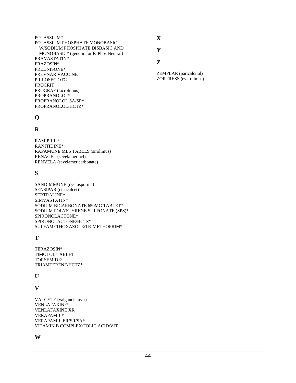- POTASSIUM\* POTASSIUM PHOSPHATE MONOBASIC W/SODIUM PHOSPHATE DISBASIC AND MONOBASIC\* (generic for K-Phos Neutral) PRAVASTATIN\* PRAZOSIN\* PREDNISONE\* PREVNAR VACCINE PRILOSEC OTC PROCRIT PROGRAF (tacrolimus) PROPRANOLOL\* PROPRANOLOL SA/SR\* PROPRANOLOL/HCTZ\*
- **X**

**Y**

**Z**

ZEMPLAR (paricalcitol) ZORTRESS (everolimus)

#### **Q**

#### **R**

RAMIPRIL\* RANITIDINE\* RAPAMUNE MLS TABLES (sirolimus) RENAGEL (sevelamer hcl) RENVELA (sevelamer carbonate)

#### **S**

SANDIMMUNE (cyclosporine) SENSIPAR (cinacalcet) SERTRALINE\* SIMVASTATIN\* SODIUM BICARBONATE 650MG TABLET\* SODIUM POLYSTYRENE SULFONATE (SPS)\* SPIRONOLACTONE\* SPIRONOLACTONE/HCTZ\* SULFAMETHOXAZOLE/TRIMETHOPRIM\*

#### **T**

TERAZOSIN\* TIMOLOL TABLET TORSEMIDE\* TRIAMTERENE/HCTZ\*

#### **U**

#### **V**

VALCYTE (valgancicloyir) VENLAFAXINE\* VENLAFAXINE XR VERAPAMIL\* VERAPAMIL ER/SR/SA\* VITAMIN B COMPLEX/FOLIC ACID/VIT

#### **W**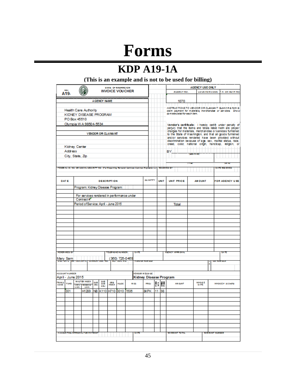## **Forms**

### **KDP A19-1A**

**(This is an example and is not to be used for billing)**

<span id="page-48-1"></span><span id="page-48-0"></span>

|                      |                                                        |                              |                                                |                        |                    | <b>STATE OF WASHINGTON</b>                 |               |      |             |                                                                                                 |                                                                                           |                |                        | <b>AGENCY USE ONLY</b>        |                       |                                                                                                                     |
|----------------------|--------------------------------------------------------|------------------------------|------------------------------------------------|------------------------|--------------------|--------------------------------------------|---------------|------|-------------|-------------------------------------------------------------------------------------------------|-------------------------------------------------------------------------------------------|----------------|------------------------|-------------------------------|-----------------------|---------------------------------------------------------------------------------------------------------------------|
|                      | <b>Katu</b><br>A19-                                    | <b>INVOICE VOUCHER</b>       |                                                |                        |                    |                                            |               |      |             | ACENCY NO.                                                                                      |                                                                                           | LOCATION CODE: | <b>LR. OR AUTH NO</b>  |                               |                       |                                                                                                                     |
|                      |                                                        |                              |                                                |                        |                    |                                            |               |      |             |                                                                                                 |                                                                                           |                |                        |                               |                       |                                                                                                                     |
|                      |                                                        |                              |                                                |                        | <b>AGENCY NAME</b> |                                            |               |      |             |                                                                                                 |                                                                                           |                | 1070                   |                               |                       |                                                                                                                     |
|                      |                                                        |                              |                                                |                        |                    |                                            |               |      |             | INSTRUCTIONS TO VENDOR OR CLAIMANT: Submit in is form in                                        |                                                                                           |                |                        |                               |                       |                                                                                                                     |
|                      | <b>Health Care Authority</b><br>KIDNEY DISEASE PROGRAM |                              |                                                |                        |                    |                                            |               |      |             |                                                                                                 | dalm payment for materials, merchandse or services. Show<br>comiete detail for each item. |                |                        |                               |                       |                                                                                                                     |
|                      | PO Box 45510                                           |                              |                                                |                        |                    |                                            |               |      |             |                                                                                                 |                                                                                           |                |                        |                               |                       |                                                                                                                     |
|                      |                                                        |                              |                                                |                        |                    |                                            |               |      |             |                                                                                                 |                                                                                           |                |                        |                               |                       |                                                                                                                     |
|                      |                                                        |                              |                                                | Olympia W A 98504-5534 |                    |                                            |               |      |             |                                                                                                 |                                                                                           |                |                        |                               |                       | Vendor's certificate: I hereby certily under penalty of<br>perjury that the tems and totals listed herin are proper |
|                      |                                                        |                              |                                                |                        |                    | <b>VENDOR OR CLAIMANT</b>                  |               |      |             |                                                                                                 |                                                                                           |                |                        |                               |                       | charges for materials, merchandise or services furnished                                                            |
|                      |                                                        |                              |                                                |                        |                    |                                            |               |      |             |                                                                                                 |                                                                                           |                |                        |                               |                       | to the State of Washington, and that all goods furnished<br>and/or services rendered have been provided without     |
|                      |                                                        |                              |                                                |                        |                    |                                            |               |      |             |                                                                                                 |                                                                                           |                |                        |                               |                       | discrimination because of age, sex, marital status, race,                                                           |
|                      | <b>Kidney Center</b>                                   |                              |                                                |                        |                    |                                            |               |      |             |                                                                                                 |                                                                                           |                |                        |                               |                       | creed, color, national origin, handicap, religion, or                                                               |
|                      | Address                                                |                              |                                                |                        |                    |                                            |               |      |             |                                                                                                 |                                                                                           |                | BΥ                     |                               |                       |                                                                                                                     |
|                      | City, State, Zip                                       |                              |                                                |                        |                    |                                            |               |      |             |                                                                                                 |                                                                                           |                |                        | <b>CIGN N NO</b>              |                       |                                                                                                                     |
|                      |                                                        |                              |                                                |                        |                    |                                            |               |      |             |                                                                                                 |                                                                                           |                |                        |                               |                       |                                                                                                                     |
|                      |                                                        |                              |                                                |                        |                    |                                            |               |      |             |                                                                                                 |                                                                                           |                | <b>RECOVED BY</b>      |                               |                       | <b>DATE RECOVED</b>                                                                                                 |
|                      |                                                        |                              |                                                |                        |                    |                                            |               |      |             | FEDERAL LD. NO. OR SOCIAL SECURITY NO. (For Reporting Personal Services Contract Payments to I) |                                                                                           |                |                        |                               |                       |                                                                                                                     |
|                      |                                                        |                              |                                                |                        |                    |                                            |               |      |             |                                                                                                 |                                                                                           |                |                        |                               |                       |                                                                                                                     |
|                      | <b>DATE</b>                                            |                              |                                                |                        |                    | <b>DESCRIPTION</b>                         |               |      |             | <b>OU ANTITY</b>                                                                                |                                                                                           | <b>UNIT</b>    | UNIT PRICE             | <b>AM OUNT</b>                |                       | FOR AGENCY USE                                                                                                      |
|                      |                                                        |                              |                                                |                        |                    | Program: Kidney Disease Program            |               |      |             |                                                                                                 |                                                                                           |                |                        |                               |                       |                                                                                                                     |
|                      |                                                        |                              |                                                |                        |                    |                                            |               |      |             |                                                                                                 |                                                                                           |                |                        |                               |                       |                                                                                                                     |
|                      |                                                        |                              |                                                |                        |                    | For services rendered in performance under |               |      |             |                                                                                                 |                                                                                           |                |                        |                               |                       |                                                                                                                     |
|                      |                                                        |                              | Contract #                                     |                        |                    |                                            |               |      |             |                                                                                                 |                                                                                           |                |                        |                               |                       |                                                                                                                     |
|                      |                                                        |                              |                                                |                        |                    | Period of Service: April - June 2015       |               |      |             |                                                                                                 |                                                                                           |                | Total                  |                               |                       |                                                                                                                     |
|                      |                                                        |                              |                                                |                        |                    |                                            |               |      |             |                                                                                                 |                                                                                           |                |                        |                               |                       |                                                                                                                     |
|                      |                                                        |                              |                                                |                        |                    |                                            |               |      |             |                                                                                                 |                                                                                           |                |                        |                               |                       |                                                                                                                     |
|                      |                                                        |                              |                                                |                        |                    |                                            |               |      |             |                                                                                                 |                                                                                           |                |                        |                               |                       |                                                                                                                     |
|                      |                                                        |                              |                                                |                        |                    |                                            |               |      |             |                                                                                                 |                                                                                           |                |                        |                               |                       |                                                                                                                     |
|                      |                                                        |                              |                                                |                        |                    |                                            |               |      |             |                                                                                                 |                                                                                           |                |                        |                               |                       |                                                                                                                     |
|                      |                                                        |                              |                                                |                        |                    |                                            |               |      |             |                                                                                                 |                                                                                           |                |                        |                               |                       |                                                                                                                     |
|                      |                                                        |                              |                                                |                        |                    |                                            |               |      |             |                                                                                                 |                                                                                           |                |                        |                               |                       |                                                                                                                     |
|                      |                                                        |                              |                                                |                        |                    |                                            |               |      |             |                                                                                                 |                                                                                           |                |                        |                               |                       |                                                                                                                     |
|                      |                                                        |                              |                                                |                        |                    |                                            |               |      |             |                                                                                                 |                                                                                           |                |                        |                               |                       |                                                                                                                     |
|                      | <b>PERLPARED IN</b>                                    |                              |                                                |                        |                    | <b>ELIPTIONE NUMBER</b>                    |               |      | <b>DATE</b> |                                                                                                 |                                                                                           |                | <b>AGENCY APPROVAL</b> |                               |                       | <b>DATE</b>                                                                                                         |
|                      | Mary Sam                                               |                              |                                                |                        |                    |                                            | 360) 725-0469 |      |             |                                                                                                 |                                                                                           |                |                        |                               |                       |                                                                                                                     |
|                      |                                                        |                              |                                                |                        |                    |                                            |               |      |             | <b>LNUCK NUMBER</b>                                                                             |                                                                                           |                |                        |                               | m                     |                                                                                                                     |
|                      |                                                        |                              |                                                |                        |                    |                                            |               |      |             |                                                                                                 |                                                                                           |                |                        |                               |                       |                                                                                                                     |
|                      | <b>ACCOUNT NUMBER</b>                                  |                              |                                                |                        |                    |                                            |               |      |             | VENDOR MICSSAGE                                                                                 |                                                                                           |                |                        |                               |                       |                                                                                                                     |
|                      | April - June 2015                                      |                              |                                                |                        |                    |                                            |               |      |             | <b>Kidney Disease Program</b>                                                                   |                                                                                           |                |                        |                               |                       |                                                                                                                     |
| <b>TRANS</b><br>CODE | <b>FUND</b>                                            | <b>APP N</b><br><b>INDEX</b> | <b>MASTER INDEX</b><br>PRODRAM<br><b>IMMED</b> | suo<br>co.             | sua<br>sua<br>ons  | ORG<br>INDEX                               | <b>ALLOC</b>  |      | N OS        | PROJ                                                                                            | 闘                                                                                         | B              | AM OUNT                | <b>INVOICE</b><br><b>DATE</b> |                       | <b>INVOICE # SOCHERS</b>                                                                                            |
|                      | 001                                                    |                              | H1289                                          | NB                     | K110               | H710 0010                                  |               | 1506 |             | 8KPK                                                                                            | 11                                                                                        | 98             |                        |                               |                       |                                                                                                                     |
|                      |                                                        |                              |                                                |                        |                    |                                            |               |      |             |                                                                                                 |                                                                                           |                |                        |                               |                       |                                                                                                                     |
|                      |                                                        |                              |                                                |                        |                    |                                            |               |      |             |                                                                                                 |                                                                                           |                |                        |                               |                       |                                                                                                                     |
|                      |                                                        |                              |                                                |                        |                    |                                            |               |      |             |                                                                                                 |                                                                                           |                |                        |                               |                       |                                                                                                                     |
|                      |                                                        |                              |                                                |                        |                    |                                            |               |      |             |                                                                                                 |                                                                                           |                |                        |                               |                       |                                                                                                                     |
|                      |                                                        |                              |                                                |                        |                    |                                            |               |      |             |                                                                                                 |                                                                                           |                |                        |                               |                       |                                                                                                                     |
|                      |                                                        |                              |                                                |                        |                    |                                            |               |      |             |                                                                                                 |                                                                                           |                |                        |                               |                       |                                                                                                                     |
|                      |                                                        |                              |                                                |                        |                    |                                            |               |      |             |                                                                                                 |                                                                                           |                |                        |                               |                       |                                                                                                                     |
|                      |                                                        |                              |                                                |                        |                    |                                            |               |      |             |                                                                                                 |                                                                                           |                |                        |                               |                       |                                                                                                                     |
|                      |                                                        |                              | A CCOUN TING APPROVAL FOR PAYMENT              |                        |                    |                                            |               |      | <b>DATE</b> |                                                                                                 |                                                                                           |                | WA RRANT TOTAL         |                               | <b>WARRANT NUMBER</b> |                                                                                                                     |
|                      |                                                        |                              |                                                |                        |                    |                                            |               |      |             |                                                                                                 |                                                                                           |                |                        |                               |                       |                                                                                                                     |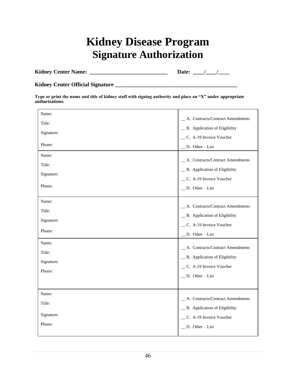### **Kidney Disease Program Signature Authorization**

<span id="page-49-0"></span>**Kidney Center Name: \_\_\_\_\_\_\_\_\_\_\_\_\_\_\_\_\_\_\_\_\_\_\_\_\_\_\_\_ Date: \_\_\_\_/\_\_\_\_/\_\_\_\_**

**Kidney Center Official Signature \_\_\_\_\_\_\_\_\_\_\_\_\_\_\_\_\_\_\_\_\_\_\_\_\_\_\_\_\_\_\_\_\_\_\_\_\_\_\_\_\_\_\_\_**

**Type or print the name and title of kidney staff with signing authority and place an "X" under appropriate authorizations.**

| Name:      |                                    |
|------------|------------------------------------|
| Title:     | A. Contracts/Contract Amendments   |
|            | _B. Application of Eligibility     |
| Signature: | _ C. A-19 Invoice Voucher          |
| Phone:     | D. Other - List                    |
| Name:      |                                    |
| Title:     | _ A. Contracts/Contract Amendments |
|            | _ B. Application of Eligibility    |
| Signature: | C. A-19 Invoice Voucher            |
| Phone:     | $\Box$ D. Other - List             |
|            |                                    |
| Name:      |                                    |
| Title:     | _ A. Contracts/Contract Amendments |
| Signature: | B. Application of Eligibility      |
|            | _C. A-19 Invoice Voucher           |
| Phone:     | D. Other - List                    |
| Name:      |                                    |
| Title:     | _ A. Contracts/Contract Amendments |
| Signature: | _B. Application of Eligibility     |
|            | _C. A-19 Invoice Voucher           |
| Phone:     | D. Other-List                      |
|            |                                    |
| Name:      |                                    |
|            | A. Contracts/Contract Amendments   |
| Title:     | _ B. Application of Eligibility    |
| Signature: | C. A-19 Invoice Voucher            |
| Phone:     |                                    |
|            | D. Other $-$ List                  |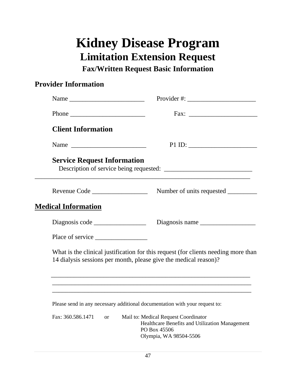### **Kidney Disease Program Limitation Extension Request Fax/Written Request Basic Information**

### <span id="page-50-0"></span>**Provider Information**

| Name $\frac{1}{\sqrt{1-\frac{1}{2}}\sqrt{1-\frac{1}{2}}\left(\frac{1}{2}-\frac{1}{2}\right)}$ | Provider #:                                                                                                                      |
|-----------------------------------------------------------------------------------------------|----------------------------------------------------------------------------------------------------------------------------------|
|                                                                                               |                                                                                                                                  |
| <b>Client Information</b>                                                                     |                                                                                                                                  |
| Name                                                                                          | $P1$ ID:                                                                                                                         |
| <b>Service Request Information</b>                                                            |                                                                                                                                  |
|                                                                                               |                                                                                                                                  |
| <b>Medical Information</b>                                                                    |                                                                                                                                  |
|                                                                                               | Diagnosis name                                                                                                                   |
|                                                                                               |                                                                                                                                  |
| 14 dialysis sessions per month, please give the medical reason)?                              | What is the clinical justification for this request (for clients needing more than                                               |
| Please send in any necessary additional documentation with your request to:                   |                                                                                                                                  |
| Fax: 360.586.1471<br>or                                                                       | Mail to: Medical Request Coordinator<br>Healthcare Benefits and Utilization Management<br>PO Box 45506<br>Olympia, WA 98504-5506 |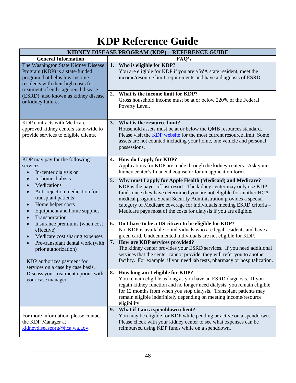### **KDP Reference Guide**

<span id="page-51-0"></span>

| KIDNEY DISEASE PROGRAM (KDP) - REFERENCE GUIDE                                                                                                                                                                                              |                                                                                                                                                                                                                                                                                                                                                                                                                                  |  |  |  |
|---------------------------------------------------------------------------------------------------------------------------------------------------------------------------------------------------------------------------------------------|----------------------------------------------------------------------------------------------------------------------------------------------------------------------------------------------------------------------------------------------------------------------------------------------------------------------------------------------------------------------------------------------------------------------------------|--|--|--|
| <b>General Information</b>                                                                                                                                                                                                                  | FAQ's                                                                                                                                                                                                                                                                                                                                                                                                                            |  |  |  |
| The Washington State Kidney Disease<br>Program (KDP) is a state-funded<br>program that helps low-income<br>residents with their high costs for<br>treatment of end stage renal disease<br>(ESRD), also known as kidney disease              | Who is eligible for KDP?<br>1.<br>You are eligible for KDP if you are a WA state resident, meet the<br>income/resource limit requirements and have a diagnosis of ESRD.<br>What is the income limit for KDP?<br>2.                                                                                                                                                                                                               |  |  |  |
| or kidney failure.                                                                                                                                                                                                                          | Gross household income must be at or below 220% of the Federal<br>Poverty Level.                                                                                                                                                                                                                                                                                                                                                 |  |  |  |
| KDP contracts with Medicare-<br>approved kidney centers state-wide to<br>provide services to eligible clients.                                                                                                                              | What is the resource limit?<br>3.<br>Household assets must be at or below the QMB resources standard.<br>Please visit the KDP website for the most current resource limit. Some<br>assets are not counted including your home, one vehicle and personal<br>possessions.                                                                                                                                                          |  |  |  |
| KDP may pay for the following<br>services:<br>In-center dialysis or                                                                                                                                                                         | How do I apply for KDP?<br>4.<br>Applications for KDP are made through the kidney centers. Ask your<br>kidney center's financial counselor for an application form.                                                                                                                                                                                                                                                              |  |  |  |
| In-home dialysis<br>$\bullet$<br>Medications<br>$\bullet$<br>Anti-rejection medication for<br>$\bullet$<br>transplant patients<br>Home helper costs<br>$\bullet$<br>Equipment and home supplies<br>$\bullet$<br>Transportation<br>$\bullet$ | 5. Why must I apply for Apple Health (Medicaid) and Medicare?<br>KDP is the payer of last resort. The kidney center may only use KDP<br>funds once they have determined you are not eligible for another HCA<br>medical program. Social Security Administration provides a special<br>category of Medicare coverage for individuals meeting ESRD criteria -<br>Medicare pays most of the costs for dialysis if you are eligible. |  |  |  |
| Insurance premiums (when cost<br>effective)<br>Medicare cost sharing expenses                                                                                                                                                               | Do I have to be a US citizen to be eligible for KDP?<br>6.<br>No, KDP is available to individuals who are legal residents and have a<br>green card. Undocumented individuals are not eligible for KDP.                                                                                                                                                                                                                           |  |  |  |
| Pre-transplant dental work (with<br>$\bullet$<br>prior authorization)<br>KDP authorizes payment for<br>services on a case by case basis.                                                                                                    | How are KDP services provided?<br>7.<br>The kidney center provides your ESRD services. If you need additional<br>services that the center cannot provide, they will refer you to another<br>facility. For example, if you need lab tests, pharmacy or hospitalization.                                                                                                                                                           |  |  |  |
| Discuss your treatment options with<br>your case manager.                                                                                                                                                                                   | 8. How long am I eligible for KDP?<br>You remain eligible as long as you have an ESRD diagnosis. If you<br>regain kidney function and no longer need dialysis, you remain eligible<br>for 12 months from when you stop dialysis. Transplant patients may<br>remain eligible indefinitely depending on meeting income/resource<br>eligibility.                                                                                    |  |  |  |
| For more information, please contact<br>the KDP Manager at<br>kidneydiseaseprg@hca.wa.gov.                                                                                                                                                  | What if I am a spenddown client?<br>9.<br>You may be eligible for KDP while pending or active on a spenddown.<br>Please check with your kidney center to see what expenses can be<br>reimbursed using KDP funds while on a spenddown.                                                                                                                                                                                            |  |  |  |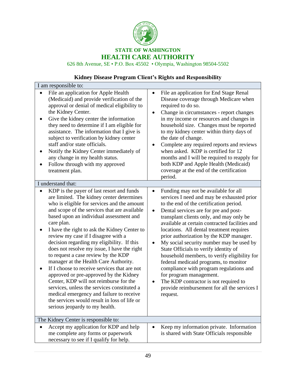

#### **STATE OF WASHINGTON HEALTH CARE AUTHORITY**

626 8th Avenue, SE • P.O. Box 45502 • Olympia, Washington 98504-5502

#### **Kidney Disease Program Client's Rights and Responsibility**

<span id="page-52-0"></span>

| I am responsible to:                                                                                                                                                                                                                                                                                                                                                                                                                                                                                                                                                                                                                                                                                                                                                                                                                |                                                                                                                                                                                                                                                                                                                                                                                                                                                                                                                                                                                                                                                                                                                                        |
|-------------------------------------------------------------------------------------------------------------------------------------------------------------------------------------------------------------------------------------------------------------------------------------------------------------------------------------------------------------------------------------------------------------------------------------------------------------------------------------------------------------------------------------------------------------------------------------------------------------------------------------------------------------------------------------------------------------------------------------------------------------------------------------------------------------------------------------|----------------------------------------------------------------------------------------------------------------------------------------------------------------------------------------------------------------------------------------------------------------------------------------------------------------------------------------------------------------------------------------------------------------------------------------------------------------------------------------------------------------------------------------------------------------------------------------------------------------------------------------------------------------------------------------------------------------------------------------|
| File an application for Apple Health<br>(Medicaid) and provide verification of the<br>approval or denial of medical eligibility to<br>the Kidney Center.<br>Give the kidney center the information<br>they need to determine if I am eligible for<br>assistance. The information that I give is<br>subject to verification by kidney center<br>staff and/or state officials.<br>Notify the Kidney Center immediately of<br>any change in my health status.<br>Follow through with my approved<br>treatment plan.                                                                                                                                                                                                                                                                                                                    | File an application for End Stage Renal<br>$\bullet$<br>Disease coverage through Medicare when<br>required to do so.<br>Change in circumstances - report changes<br>in my income or resources and changes in<br>household size. Changes must be reported<br>to my kidney center within thirty days of<br>the date of change.<br>Complete any required reports and reviews<br>when asked. KDP is certified for 12<br>months and I will be required to reapply for<br>both KDP and Apple Health (Medicaid)<br>coverage at the end of the certification<br>period.                                                                                                                                                                        |
| I understand that:                                                                                                                                                                                                                                                                                                                                                                                                                                                                                                                                                                                                                                                                                                                                                                                                                  |                                                                                                                                                                                                                                                                                                                                                                                                                                                                                                                                                                                                                                                                                                                                        |
| KDP is the payer of last resort and funds<br>are limited. The kidney center determines<br>who is eligible for services and the amount<br>and scope of the services that are available<br>based upon an individual assessment and<br>care plan.<br>I have the right to ask the Kidney Center to<br>review my case if I disagree with a<br>decision regarding my eligibility. If this<br>does not resolve my issue, I have the right<br>to request a case review by the KDP<br>manager at the Health Care Authority.<br>If I choose to receive services that are not<br>approved or pre-approved by the Kidney<br>Center, KDP will not reimburse for the<br>services, unless the services constituted a<br>medical emergency and failure to receive<br>the services would result in loss of life or<br>serious jeopardy to my health. | Funding may not be available for all<br>٠<br>services I need and may be exhausted prior<br>to the end of the certification period.<br>Dental services are for pre and post-<br>$\bullet$<br>transplant clients only, and may only be<br>available at certain contracted facilities and<br>locations. All dental treatment requires<br>prior authorization by the KDP manager.<br>My social security number may be used by<br>State Officials to verify identity of<br>household members, to verify eligibility for<br>federal medicaid programs, to monitor<br>compliance with program regulations and<br>for program management.<br>The KDP contractor is not required to<br>provide reimbursement for all the services I<br>request. |
| The Kidney Center is responsible to:                                                                                                                                                                                                                                                                                                                                                                                                                                                                                                                                                                                                                                                                                                                                                                                                |                                                                                                                                                                                                                                                                                                                                                                                                                                                                                                                                                                                                                                                                                                                                        |
| Accept my application for KDP and help<br>me complete any forms or paperwork<br>necessary to see if I qualify for help.                                                                                                                                                                                                                                                                                                                                                                                                                                                                                                                                                                                                                                                                                                             | Keep my information private. Information<br>is shared with State Officials responsible                                                                                                                                                                                                                                                                                                                                                                                                                                                                                                                                                                                                                                                 |